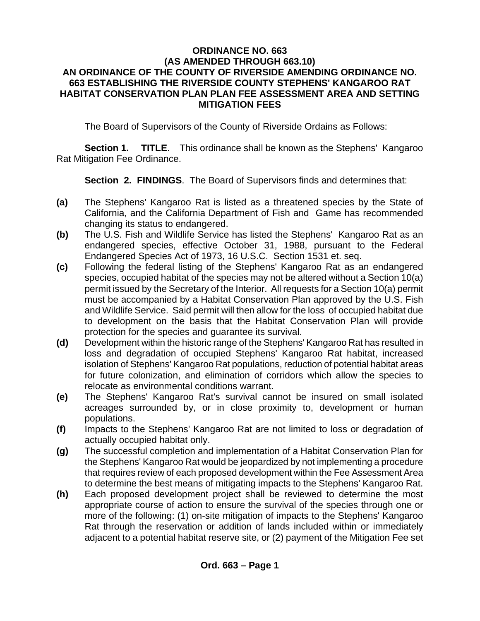## **ORDINANCE NO. 663 (AS AMENDED THROUGH 663.10) AN ORDINANCE OF THE COUNTY OF RIVERSIDE AMENDING ORDINANCE NO. 663 ESTABLISHING THE RIVERSIDE COUNTY STEPHENS' KANGAROO RAT HABITAT CONSERVATION PLAN PLAN FEE ASSESSMENT AREA AND SETTING MITIGATION FEES**

The Board of Supervisors of the County of Riverside Ordains as Follows:

**Section 1. TITLE**. This ordinance shall be known as the Stephens' Kangaroo Rat Mitigation Fee Ordinance.

**Section 2. FINDINGS**. The Board of Supervisors finds and determines that:

- **(a)** The Stephens' Kangaroo Rat is listed as a threatened species by the State of California, and the California Department of Fish and Game has recommended changing its status to endangered.
- **(b)** The U.S. Fish and Wildlife Service has listed the Stephens' Kangaroo Rat as an endangered species, effective October 31, 1988, pursuant to the Federal Endangered Species Act of 1973, 16 U.S.C. Section 1531 et. seq.
- **(c)** Following the federal listing of the Stephens' Kangaroo Rat as an endangered species, occupied habitat of the species may not be altered without a Section 10(a) permit issued by the Secretary of the Interior. All requests for a Section 10(a) permit must be accompanied by a Habitat Conservation Plan approved by the U.S. Fish and Wildlife Service. Said permit will then allow for the loss of occupied habitat due to development on the basis that the Habitat Conservation Plan will provide protection for the species and guarantee its survival.
- **(d)** Development within the historic range of the Stephens' Kangaroo Rat has resulted in loss and degradation of occupied Stephens' Kangaroo Rat habitat, increased isolation of Stephens' Kangaroo Rat populations, reduction of potential habitat areas for future colonization, and elimination of corridors which allow the species to relocate as environmental conditions warrant.
- **(e)** The Stephens' Kangaroo Rat's survival cannot be insured on small isolated acreages surrounded by, or in close proximity to, development or human populations.
- **(f)** Impacts to the Stephens' Kangaroo Rat are not limited to loss or degradation of actually occupied habitat only.
- **(g)** The successful completion and implementation of a Habitat Conservation Plan for the Stephens' Kangaroo Rat would be jeopardized by not implementing a procedure that requires review of each proposed development within the Fee Assessment Area to determine the best means of mitigating impacts to the Stephens' Kangaroo Rat.
- **(h)** Each proposed development project shall be reviewed to determine the most appropriate course of action to ensure the survival of the species through one or more of the following: (1) on-site mitigation of impacts to the Stephens' Kangaroo Rat through the reservation or addition of lands included within or immediately adjacent to a potential habitat reserve site, or (2) payment of the Mitigation Fee set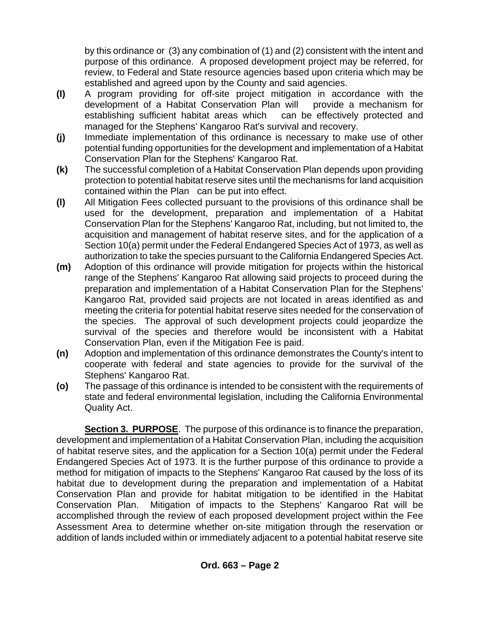by this ordinance or (3) any combination of (1) and (2) consistent with the intent and purpose of this ordinance. A proposed development project may be referred, for review, to Federal and State resource agencies based upon criteria which may be established and agreed upon by the County and said agencies.

- **(I)** A program providing for off-site project mitigation in accordance with the development of a Habitat Conservation Plan will provide a mechanism for establishing sufficient habitat areas which can be effectively protected and managed for the Stephens' Kangaroo Rat's survival and recovery.
- **(j)** Immediate implementation of this ordinance is necessary to make use of other potential funding opportunities for the development and implementation of a Habitat Conservation Plan for the Stephens' Kangaroo Rat.
- **(k)** The successful completion of a Habitat Conservation Plan depends upon providing protection to potential habitat reserve sites until the mechanisms for land acquisition contained within the Plan can be put into effect.
- **(l)** All Mitigation Fees collected pursuant to the provisions of this ordinance shall be used for the development, preparation and implementation of a Habitat Conservation Plan for the Stephens' Kangaroo Rat, including, but not limited to, the acquisition and management of habitat reserve sites, and for the application of a Section 10(a) permit under the Federal Endangered Species Act of 1973, as well as authorization to take the species pursuant to the California Endangered Species Act.
- **(m)** Adoption of this ordinance will provide mitigation for projects within the historical range of the Stephens' Kangaroo Rat allowing said projects to proceed during the preparation and implementation of a Habitat Conservation Plan for the Stephens' Kangaroo Rat, provided said projects are not located in areas identified as and meeting the criteria for potential habitat reserve sites needed for the conservation of the species. The approval of such development projects could jeopardize the survival of the species and therefore would be inconsistent with a Habitat Conservation Plan, even if the Mitigation Fee is paid.
- **(n)** Adoption and implementation of this ordinance demonstrates the County's intent to cooperate with federal and state agencies to provide for the survival of the Stephens' Kangaroo Rat.
- **(o)** The passage of this ordinance is intended to be consistent with the requirements of state and federal environmental legislation, including the California Environmental Quality Act.

**Section 3. PURPOSE**. The purpose of this ordinance is to finance the preparation, development and implementation of a Habitat Conservation Plan, including the acquisition of habitat reserve sites, and the application for a Section 10(a) permit under the Federal Endangered Species Act of 1973. It is the further purpose of this ordinance to provide a method for mitigation of impacts to the Stephens' Kangaroo Rat caused by the loss of its habitat due to development during the preparation and implementation of a Habitat Conservation Plan and provide for habitat mitigation to be identified in the Habitat Conservation Plan. Mitigation of impacts to the Stephens' Kangaroo Rat will be accomplished through the review of each proposed development project within the Fee Assessment Area to determine whether on-site mitigation through the reservation or addition of lands included within or immediately adjacent to a potential habitat reserve site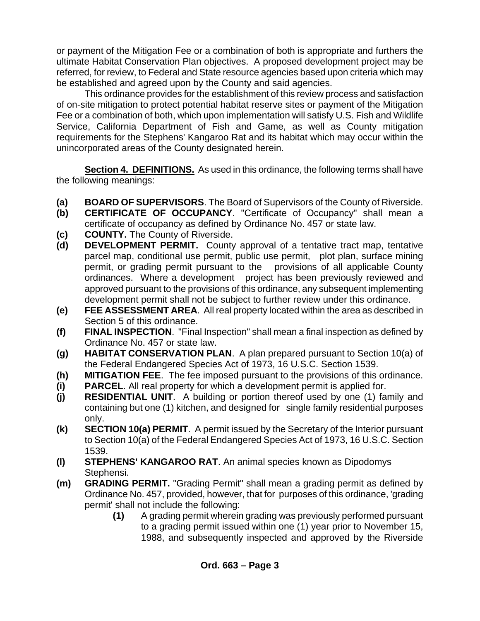or payment of the Mitigation Fee or a combination of both is appropriate and furthers the ultimate Habitat Conservation Plan objectives. A proposed development project may be referred, for review, to Federal and State resource agencies based upon criteria which may be established and agreed upon by the County and said agencies.

This ordinance provides for the establishment of this review process and satisfaction of on-site mitigation to protect potential habitat reserve sites or payment of the Mitigation Fee or a combination of both, which upon implementation will satisfy U.S. Fish and Wildlife Service, California Department of Fish and Game, as well as County mitigation requirements for the Stephens' Kangaroo Rat and its habitat which may occur within the unincorporated areas of the County designated herein.

**Section 4. DEFINITIONS.** As used in this ordinance, the following terms shall have the following meanings:

- **(a) BOARD OF SUPERVISORS**. The Board of Supervisors of the County of Riverside.
- **(b) CERTIFICATE OF OCCUPANCY**. "Certificate of Occupancy" shall mean a certificate of occupancy as defined by Ordinance No. 457 or state law.
- **(c) COUNTY.** The County of Riverside.
- **(d) DEVELOPMENT PERMIT.** County approval of a tentative tract map, tentative parcel map, conditional use permit, public use permit, plot plan, surface mining permit, or grading permit pursuant to the provisions of all applicable County ordinances. Where a development project has been previously reviewed and approved pursuant to the provisions of this ordinance, any subsequent implementing development permit shall not be subject to further review under this ordinance.
- **(e) FEE ASSESSMENT AREA**. All real property located within the area as described in Section 5 of this ordinance.
- **(f) FINAL INSPECTION**. "Final Inspection" shall mean a final inspection as defined by Ordinance No. 457 or state law.
- **(g) HABITAT CONSERVATION PLAN**. A plan prepared pursuant to Section 10(a) of the Federal Endangered Species Act of 1973, 16 U.S.C. Section 1539.
- **(h) MITIGATION FEE**. The fee imposed pursuant to the provisions of this ordinance.
- **(i) PARCEL**. All real property for which a development permit is applied for.
- **(j) RESIDENTIAL UNIT**. A building or portion thereof used by one (1) family and containing but one (1) kitchen, and designed for single family residential purposes only.
- **(k) SECTION 10(a) PERMIT**. A permit issued by the Secretary of the Interior pursuant to Section 10(a) of the Federal Endangered Species Act of 1973, 16 U.S.C. Section 1539.
- **(l) STEPHENS' KANGAROO RAT**. An animal species known as Dipodomys Stephensi.
- **(m) GRADING PERMIT.** "Grading Permit" shall mean a grading permit as defined by Ordinance No. 457, provided, however, that for purposes of this ordinance, 'grading permit' shall not include the following:
	- **(1)** A grading permit wherein grading was previously performed pursuant to a grading permit issued within one (1) year prior to November 15, 1988, and subsequently inspected and approved by the Riverside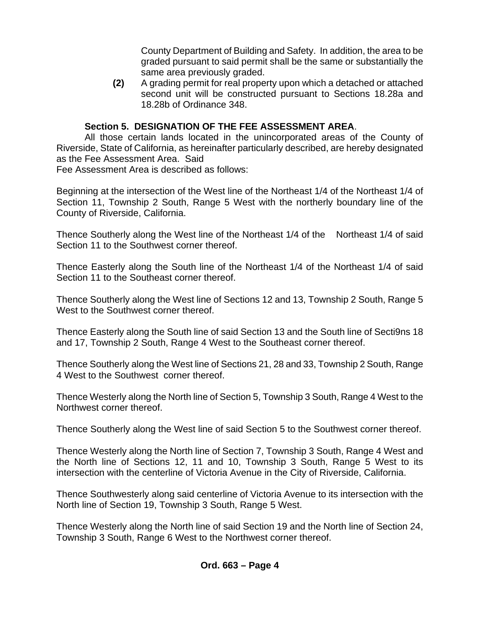County Department of Building and Safety. In addition, the area to be graded pursuant to said permit shall be the same or substantially the same area previously graded.

**(2)** A grading permit for real property upon which a detached or attached second unit will be constructed pursuant to Sections 18.28a and 18.28b of Ordinance 348.

# **Section 5. DESIGNATION OF THE FEE ASSESSMENT AREA**.

All those certain lands located in the unincorporated areas of the County of Riverside, State of California, as hereinafter particularly described, are hereby designated as the Fee Assessment Area. Said Fee Assessment Area is described as follows:

Beginning at the intersection of the West line of the Northeast 1/4 of the Northeast 1/4 of Section 11, Township 2 South, Range 5 West with the northerly boundary line of the County of Riverside, California.

Thence Southerly along the West line of the Northeast 1/4 of the Northeast 1/4 of said Section 11 to the Southwest corner thereof.

Thence Easterly along the South line of the Northeast 1/4 of the Northeast 1/4 of said Section 11 to the Southeast corner thereof.

Thence Southerly along the West line of Sections 12 and 13, Township 2 South, Range 5 West to the Southwest corner thereof.

Thence Easterly along the South line of said Section 13 and the South line of Secti9ns 18 and 17, Township 2 South, Range 4 West to the Southeast corner thereof.

Thence Southerly along the West line of Sections 21, 28 and 33, Township 2 South, Range 4 West to the Southwest corner thereof.

Thence Westerly along the North line of Section 5, Township 3 South, Range 4 West to the Northwest corner thereof.

Thence Southerly along the West line of said Section 5 to the Southwest corner thereof.

Thence Westerly along the North line of Section 7, Township 3 South, Range 4 West and the North line of Sections 12, 11 and 10, Township 3 South, Range 5 West to its intersection with the centerline of Victoria Avenue in the City of Riverside, California.

Thence Southwesterly along said centerline of Victoria Avenue to its intersection with the North line of Section 19, Township 3 South, Range 5 West.

Thence Westerly along the North line of said Section 19 and the North line of Section 24, Township 3 South, Range 6 West to the Northwest corner thereof.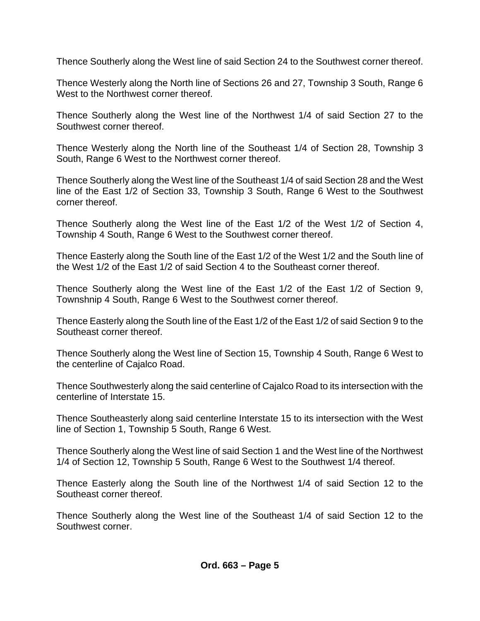Thence Southerly along the West line of said Section 24 to the Southwest corner thereof.

Thence Westerly along the North line of Sections 26 and 27, Township 3 South, Range 6 West to the Northwest corner thereof.

Thence Southerly along the West line of the Northwest 1/4 of said Section 27 to the Southwest corner thereof.

Thence Westerly along the North line of the Southeast 1/4 of Section 28, Township 3 South, Range 6 West to the Northwest corner thereof.

Thence Southerly along the West line of the Southeast 1/4 of said Section 28 and the West line of the East 1/2 of Section 33, Township 3 South, Range 6 West to the Southwest corner thereof.

Thence Southerly along the West line of the East 1/2 of the West 1/2 of Section 4, Township 4 South, Range 6 West to the Southwest corner thereof.

Thence Easterly along the South line of the East 1/2 of the West 1/2 and the South line of the West 1/2 of the East 1/2 of said Section 4 to the Southeast corner thereof.

Thence Southerly along the West line of the East 1/2 of the East 1/2 of Section 9, Townshnip 4 South, Range 6 West to the Southwest corner thereof.

Thence Easterly along the South line of the East 1/2 of the East 1/2 of said Section 9 to the Southeast corner thereof.

Thence Southerly along the West line of Section 15, Township 4 South, Range 6 West to the centerline of Cajalco Road.

Thence Southwesterly along the said centerline of Cajalco Road to its intersection with the centerline of Interstate 15.

Thence Southeasterly along said centerline Interstate 15 to its intersection with the West line of Section 1, Township 5 South, Range 6 West.

Thence Southerly along the West line of said Section 1 and the West line of the Northwest 1/4 of Section 12, Township 5 South, Range 6 West to the Southwest 1/4 thereof.

Thence Easterly along the South line of the Northwest 1/4 of said Section 12 to the Southeast corner thereof.

Thence Southerly along the West line of the Southeast 1/4 of said Section 12 to the Southwest corner.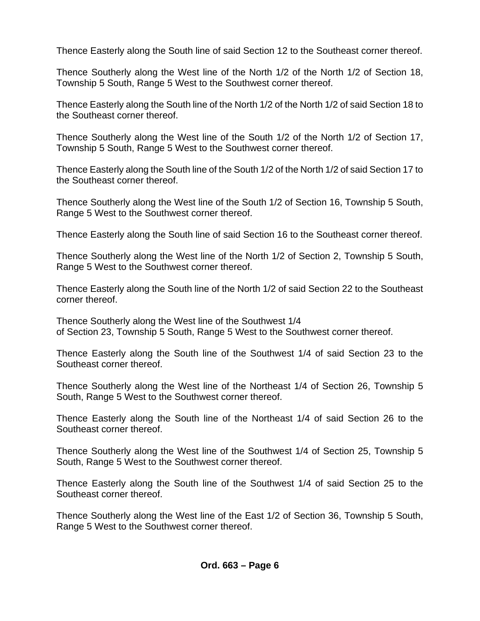Thence Easterly along the South line of said Section 12 to the Southeast corner thereof.

Thence Southerly along the West line of the North 1/2 of the North 1/2 of Section 18, Township 5 South, Range 5 West to the Southwest corner thereof.

Thence Easterly along the South line of the North 1/2 of the North 1/2 of said Section 18 to the Southeast corner thereof.

Thence Southerly along the West line of the South 1/2 of the North 1/2 of Section 17, Township 5 South, Range 5 West to the Southwest corner thereof.

Thence Easterly along the South line of the South 1/2 of the North 1/2 of said Section 17 to the Southeast corner thereof.

Thence Southerly along the West line of the South 1/2 of Section 16, Township 5 South, Range 5 West to the Southwest corner thereof.

Thence Easterly along the South line of said Section 16 to the Southeast corner thereof.

Thence Southerly along the West line of the North 1/2 of Section 2, Township 5 South, Range 5 West to the Southwest corner thereof.

Thence Easterly along the South line of the North 1/2 of said Section 22 to the Southeast corner thereof.

Thence Southerly along the West line of the Southwest 1/4 of Section 23, Township 5 South, Range 5 West to the Southwest corner thereof.

Thence Easterly along the South line of the Southwest 1/4 of said Section 23 to the Southeast corner thereof.

Thence Southerly along the West line of the Northeast 1/4 of Section 26, Township 5 South, Range 5 West to the Southwest corner thereof.

Thence Easterly along the South line of the Northeast 1/4 of said Section 26 to the Southeast corner thereof.

Thence Southerly along the West line of the Southwest 1/4 of Section 25, Township 5 South, Range 5 West to the Southwest corner thereof.

Thence Easterly along the South line of the Southwest 1/4 of said Section 25 to the Southeast corner thereof.

Thence Southerly along the West line of the East 1/2 of Section 36, Township 5 South, Range 5 West to the Southwest corner thereof.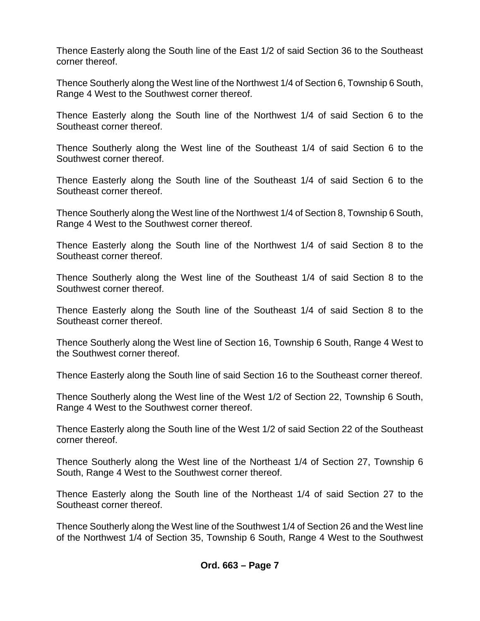Thence Easterly along the South line of the East 1/2 of said Section 36 to the Southeast corner thereof.

Thence Southerly along the West line of the Northwest 1/4 of Section 6, Township 6 South, Range 4 West to the Southwest corner thereof.

Thence Easterly along the South line of the Northwest 1/4 of said Section 6 to the Southeast corner thereof.

Thence Southerly along the West line of the Southeast 1/4 of said Section 6 to the Southwest corner thereof.

Thence Easterly along the South line of the Southeast 1/4 of said Section 6 to the Southeast corner thereof.

Thence Southerly along the West line of the Northwest 1/4 of Section 8, Township 6 South, Range 4 West to the Southwest corner thereof.

Thence Easterly along the South line of the Northwest 1/4 of said Section 8 to the Southeast corner thereof.

Thence Southerly along the West line of the Southeast 1/4 of said Section 8 to the Southwest corner thereof.

Thence Easterly along the South line of the Southeast 1/4 of said Section 8 to the Southeast corner thereof.

Thence Southerly along the West line of Section 16, Township 6 South, Range 4 West to the Southwest corner thereof.

Thence Easterly along the South line of said Section 16 to the Southeast corner thereof.

Thence Southerly along the West line of the West 1/2 of Section 22, Township 6 South, Range 4 West to the Southwest corner thereof.

Thence Easterly along the South line of the West 1/2 of said Section 22 of the Southeast corner thereof.

Thence Southerly along the West line of the Northeast 1/4 of Section 27, Township 6 South, Range 4 West to the Southwest corner thereof.

Thence Easterly along the South line of the Northeast 1/4 of said Section 27 to the Southeast corner thereof.

Thence Southerly along the West line of the Southwest 1/4 of Section 26 and the West line of the Northwest 1/4 of Section 35, Township 6 South, Range 4 West to the Southwest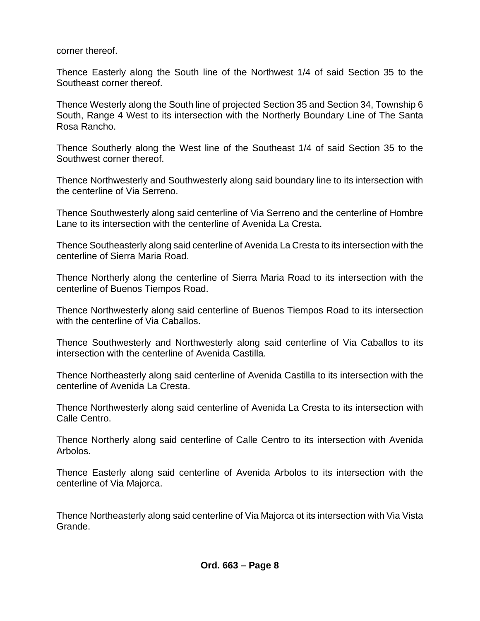corner thereof.

Thence Easterly along the South line of the Northwest 1/4 of said Section 35 to the Southeast corner thereof.

Thence Westerly along the South line of projected Section 35 and Section 34, Township 6 South, Range 4 West to its intersection with the Northerly Boundary Line of The Santa Rosa Rancho.

Thence Southerly along the West line of the Southeast 1/4 of said Section 35 to the Southwest corner thereof.

Thence Northwesterly and Southwesterly along said boundary line to its intersection with the centerline of Via Serreno.

Thence Southwesterly along said centerline of Via Serreno and the centerline of Hombre Lane to its intersection with the centerline of Avenida La Cresta.

Thence Southeasterly along said centerline of Avenida La Cresta to its intersection with the centerline of Sierra Maria Road.

Thence Northerly along the centerline of Sierra Maria Road to its intersection with the centerline of Buenos Tiempos Road.

Thence Northwesterly along said centerline of Buenos Tiempos Road to its intersection with the centerline of Via Caballos.

Thence Southwesterly and Northwesterly along said centerline of Via Caballos to its intersection with the centerline of Avenida Castilla.

Thence Northeasterly along said centerline of Avenida Castilla to its intersection with the centerline of Avenida La Cresta.

Thence Northwesterly along said centerline of Avenida La Cresta to its intersection with Calle Centro.

Thence Northerly along said centerline of Calle Centro to its intersection with Avenida Arbolos.

Thence Easterly along said centerline of Avenida Arbolos to its intersection with the centerline of Via Majorca.

Thence Northeasterly along said centerline of Via Majorca ot its intersection with Via Vista Grande.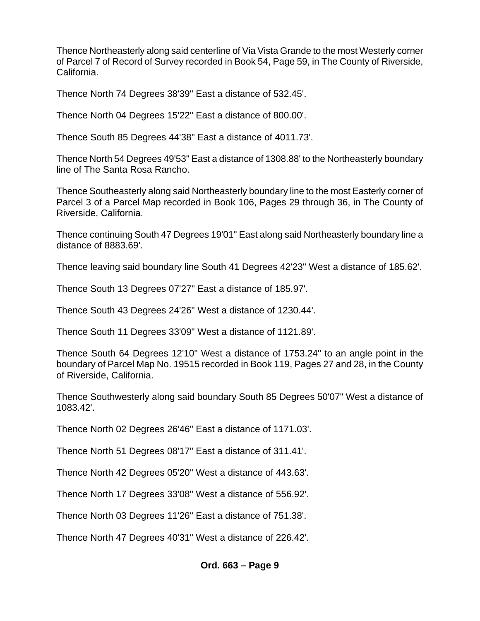Thence Northeasterly along said centerline of Via Vista Grande to the most Westerly corner of Parcel 7 of Record of Survey recorded in Book 54, Page 59, in The County of Riverside, California.

Thence North 74 Degrees 38'39" East a distance of 532.45'.

Thence North 04 Degrees 15'22" East a distance of 800.00'.

Thence South 85 Degrees 44'38" East a distance of 4011.73'.

Thence North 54 Degrees 49'53" East a distance of 1308.88' to the Northeasterly boundary line of The Santa Rosa Rancho.

Thence Southeasterly along said Northeasterly boundary line to the most Easterly corner of Parcel 3 of a Parcel Map recorded in Book 106, Pages 29 through 36, in The County of Riverside, California.

Thence continuing South 47 Degrees 19'01" East along said Northeasterly boundary line a distance of 8883.69'.

Thence leaving said boundary line South 41 Degrees 42'23" West a distance of 185.62'.

Thence South 13 Degrees 07'27" East a distance of 185.97'.

Thence South 43 Degrees 24'26" West a distance of 1230.44'.

Thence South 11 Degrees 33'09" West a distance of 1121.89'.

Thence South 64 Degrees 12'10" West a distance of 1753.24" to an angle point in the boundary of Parcel Map No. 19515 recorded in Book 119, Pages 27 and 28, in the County of Riverside, California.

Thence Southwesterly along said boundary South 85 Degrees 50'07" West a distance of 1083.42'.

Thence North 02 Degrees 26'46" East a distance of 1171.03'.

Thence North 51 Degrees 08'17" East a distance of 311.41'.

Thence North 42 Degrees 05'20" West a distance of 443.63'.

Thence North 17 Degrees 33'08" West a distance of 556.92'.

Thence North 03 Degrees 11'26" East a distance of 751.38'.

Thence North 47 Degrees 40'31" West a distance of 226.42'.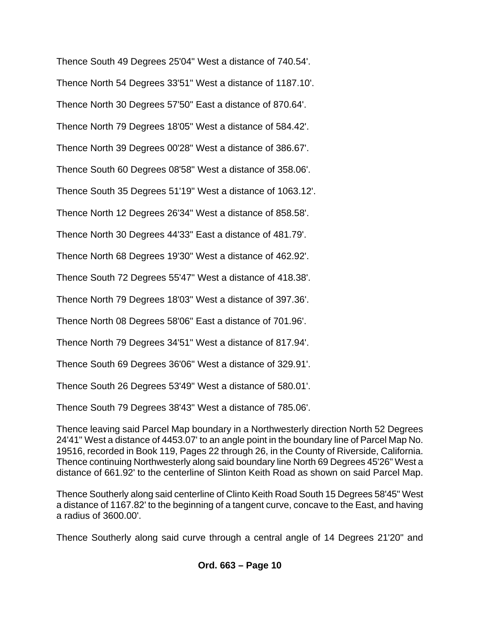Thence South 49 Degrees 25'04" West a distance of 740.54'. Thence North 54 Degrees 33'51" West a distance of 1187.10'. Thence North 30 Degrees 57'50" East a distance of 870.64'. Thence North 79 Degrees 18'05" West a distance of 584.42'. Thence North 39 Degrees 00'28" West a distance of 386.67'. Thence South 60 Degrees 08'58" West a distance of 358.06'. Thence South 35 Degrees 51'19" West a distance of 1063.12'. Thence North 12 Degrees 26'34" West a distance of 858.58'. Thence North 30 Degrees 44'33" East a distance of 481.79'. Thence North 68 Degrees 19'30" West a distance of 462.92'. Thence South 72 Degrees 55'47" West a distance of 418.38'. Thence North 79 Degrees 18'03" West a distance of 397.36'. Thence North 08 Degrees 58'06" East a distance of 701.96'. Thence North 79 Degrees 34'51" West a distance of 817.94'. Thence South 69 Degrees 36'06" West a distance of 329.91'. Thence South 26 Degrees 53'49" West a distance of 580.01'. Thence South 79 Degrees 38'43" West a distance of 785.06'. Thence leaving said Parcel Map boundary in a Northwesterly direction North 52 Degrees

24'41" West a distance of 4453.07' to an angle point in the boundary line of Parcel Map No. 19516, recorded in Book 119, Pages 22 through 26, in the County of Riverside, California. Thence continuing Northwesterly along said boundary line North 69 Degrees 45'26" West a distance of 661.92' to the centerline of Slinton Keith Road as shown on said Parcel Map.

Thence Southerly along said centerline of Clinto Keith Road South 15 Degrees 58'45" West a distance of 1167.82' to the beginning of a tangent curve, concave to the East, and having a radius of 3600.00'.

Thence Southerly along said curve through a central angle of 14 Degrees 21'20" and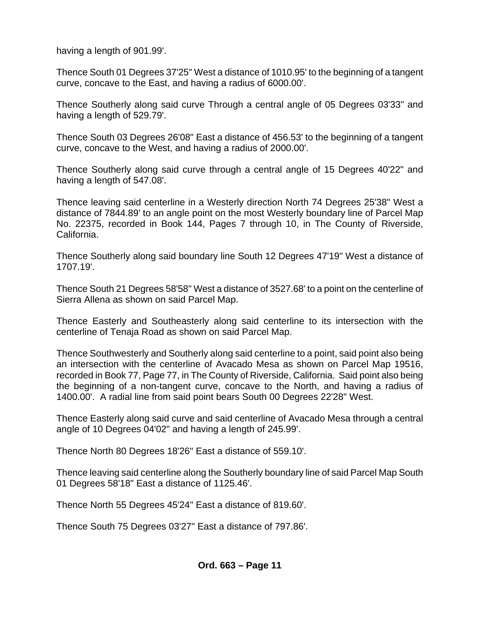having a length of 901.99'.

Thence South 01 Degrees 37'25" West a distance of 1010.95' to the beginning of a tangent curve, concave to the East, and having a radius of 6000.00'.

Thence Southerly along said curve Through a central angle of 05 Degrees 03'33" and having a length of 529.79'.

Thence South 03 Degrees 26'08" East a distance of 456.53' to the beginning of a tangent curve, concave to the West, and having a radius of 2000.00'.

Thence Southerly along said curve through a central angle of 15 Degrees 40'22" and having a length of 547.08'.

Thence leaving said centerline in a Westerly direction North 74 Degrees 25'38" West a distance of 7844.89' to an angle point on the most Westerly boundary line of Parcel Map No. 22375, recorded in Book 144, Pages 7 through 10, in The County of Riverside, California.

Thence Southerly along said boundary line South 12 Degrees 47'19" West a distance of 1707.19'.

Thence South 21 Degrees 58'58" West a distance of 3527.68' to a point on the centerline of Sierra Allena as shown on said Parcel Map.

Thence Easterly and Southeasterly along said centerline to its intersection with the centerline of Tenaja Road as shown on said Parcel Map.

Thence Southwesterly and Southerly along said centerline to a point, said point also being an intersection with the centerline of Avacado Mesa as shown on Parcel Map 19516, recorded in Book 77, Page 77, in The County of Riverside, California. Said point also being the beginning of a non-tangent curve, concave to the North, and having a radius of 1400.00'. A radial line from said point bears South 00 Degrees 22'28" West.

Thence Easterly along said curve and said centerline of Avacado Mesa through a central angle of 10 Degrees 04'02" and having a length of 245.99'.

Thence North 80 Degrees 18'26" East a distance of 559.10'.

Thence leaving said centerline along the Southerly boundary line of said Parcel Map South 01 Degrees 58'18" East a distance of 1125.46'.

Thence North 55 Degrees 45'24" East a distance of 819.60'.

Thence South 75 Degrees 03'27" East a distance of 797.86'.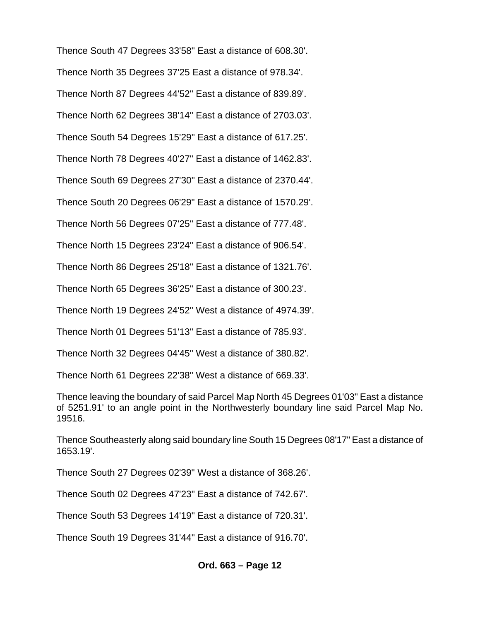Thence South 47 Degrees 33'58" East a distance of 608.30'. Thence North 35 Degrees 37'25 East a distance of 978.34'. Thence North 87 Degrees 44'52" East a distance of 839.89'. Thence North 62 Degrees 38'14" East a distance of 2703.03'. Thence South 54 Degrees 15'29" East a distance of 617.25'. Thence North 78 Degrees 40'27" East a distance of 1462.83'. Thence South 69 Degrees 27'30" East a distance of 2370.44'. Thence South 20 Degrees 06'29" East a distance of 1570.29'. Thence North 56 Degrees 07'25" East a distance of 777.48'. Thence North 15 Degrees 23'24" East a distance of 906.54'. Thence North 86 Degrees 25'18" East a distance of 1321.76'. Thence North 65 Degrees 36'25" East a distance of 300.23'. Thence North 19 Degrees 24'52" West a distance of 4974.39'. Thence North 01 Degrees 51'13" East a distance of 785.93'. Thence North 32 Degrees 04'45" West a distance of 380.82'. Thence North 61 Degrees 22'38" West a distance of 669.33'. Thence leaving the boundary of said Parcel Map North 45 Degrees 01'03" East a distance of 5251.91' to an angle point in the Northwesterly boundary line said Parcel Map No. 19516. Thence Southeasterly along said boundary line South 15 Degrees 08'17" East a distance of 1653.19'.

Thence South 27 Degrees 02'39" West a distance of 368.26'.

Thence South 02 Degrees 47'23" East a distance of 742.67'.

Thence South 53 Degrees 14'19" East a distance of 720.31'.

Thence South 19 Degrees 31'44" East a distance of 916.70'.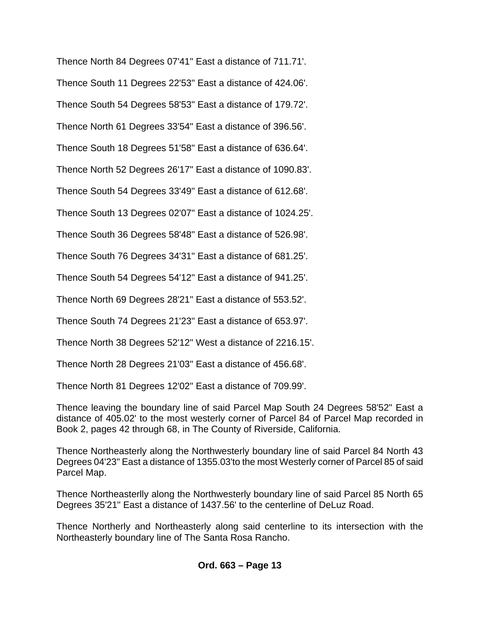Thence North 84 Degrees 07'41" East a distance of 711.71'.

Thence South 11 Degrees 22'53" East a distance of 424.06'.

Thence South 54 Degrees 58'53" East a distance of 179.72'.

Thence North 61 Degrees 33'54" East a distance of 396.56'.

Thence South 18 Degrees 51'58" East a distance of 636.64'.

Thence North 52 Degrees 26'17" East a distance of 1090.83'.

Thence South 54 Degrees 33'49" East a distance of 612.68'.

Thence South 13 Degrees 02'07" East a distance of 1024.25'.

Thence South 36 Degrees 58'48" East a distance of 526.98'.

Thence South 76 Degrees 34'31" East a distance of 681.25'.

Thence South 54 Degrees 54'12" East a distance of 941.25'.

Thence North 69 Degrees 28'21" East a distance of 553.52'.

Thence South 74 Degrees 21'23" East a distance of 653.97'.

Thence North 38 Degrees 52'12" West a distance of 2216.15'.

Thence North 28 Degrees 21'03" East a distance of 456.68'.

Thence North 81 Degrees 12'02" East a distance of 709.99'.

Thence leaving the boundary line of said Parcel Map South 24 Degrees 58'52" East a distance of 405.02' to the most westerly corner of Parcel 84 of Parcel Map recorded in Book 2, pages 42 through 68, in The County of Riverside, California.

Thence Northeasterly along the Northwesterly boundary line of said Parcel 84 North 43 Degrees 04'23" East a distance of 1355.03'to the most Westerly corner of Parcel 85 of said Parcel Map.

Thence Northeasterlly along the Northwesterly boundary line of said Parcel 85 North 65 Degrees 35'21" East a distance of 1437.56' to the centerline of DeLuz Road.

Thence Northerly and Northeasterly along said centerline to its intersection with the Northeasterly boundary line of The Santa Rosa Rancho.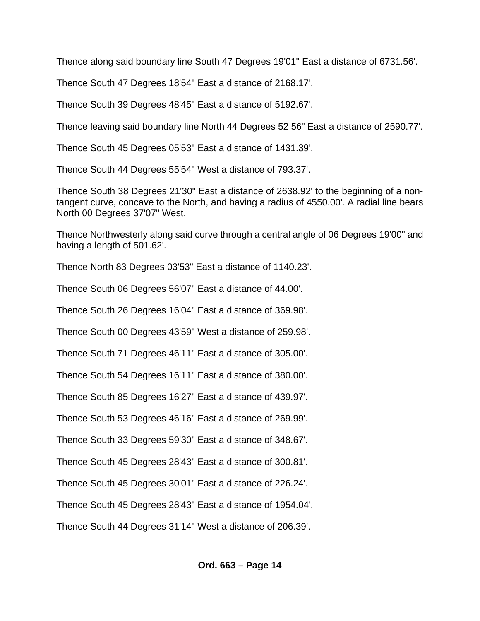Thence along said boundary line South 47 Degrees 19'01" East a distance of 6731.56'.

Thence South 47 Degrees 18'54" East a distance of 2168.17'.

Thence South 39 Degrees 48'45" East a distance of 5192.67'.

Thence leaving said boundary line North 44 Degrees 52 56" East a distance of 2590.77'.

Thence South 45 Degrees 05'53" East a distance of 1431.39'.

Thence South 44 Degrees 55'54" West a distance of 793.37'.

Thence South 38 Degrees 21'30" East a distance of 2638.92' to the beginning of a nontangent curve, concave to the North, and having a radius of 4550.00'. A radial line bears North 00 Degrees 37'07" West.

Thence Northwesterly along said curve through a central angle of 06 Degrees 19'00" and having a length of 501.62'.

Thence North 83 Degrees 03'53" East a distance of 1140.23'.

Thence South 06 Degrees 56'07" East a distance of 44.00'.

Thence South 26 Degrees 16'04" East a distance of 369.98'.

Thence South 00 Degrees 43'59" West a distance of 259.98'.

Thence South 71 Degrees 46'11" East a distance of 305.00'.

Thence South 54 Degrees 16'11" East a distance of 380.00'.

Thence South 85 Degrees 16'27" East a distance of 439.97'.

Thence South 53 Degrees 46'16" East a distance of 269.99'.

Thence South 33 Degrees 59'30" East a distance of 348.67'.

Thence South 45 Degrees 28'43" East a distance of 300.81'.

Thence South 45 Degrees 30'01" East a distance of 226.24'.

Thence South 45 Degrees 28'43" East a distance of 1954.04'.

Thence South 44 Degrees 31'14" West a distance of 206.39'.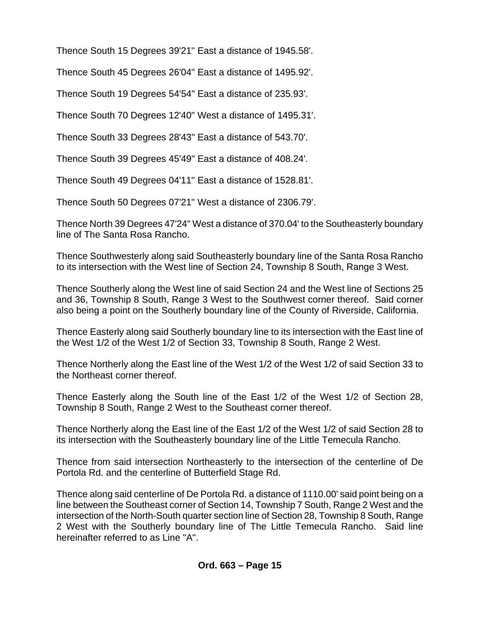Thence South 15 Degrees 39'21" East a distance of 1945.58'.

Thence South 45 Degrees 26'04" East a distance of 1495.92'.

Thence South 19 Degrees 54'54" East a distance of 235.93'.

Thence South 70 Degrees 12'40" West a distance of 1495.31'.

Thence South 33 Degrees 28'43" East a distance of 543.70'.

Thence South 39 Degrees 45'49" East a distance of 408.24'.

Thence South 49 Degrees 04'11" East a distance of 1528.81'.

Thence South 50 Degrees 07'21" West a distance of 2306.79'.

Thence North 39 Degrees 47'24" West a distance of 370.04' to the Southeasterly boundary line of The Santa Rosa Rancho.

Thence Southwesterly along said Southeasterly boundary line of the Santa Rosa Rancho to its intersection with the West line of Section 24, Township 8 South, Range 3 West.

Thence Southerly along the West line of said Section 24 and the West line of Sections 25 and 36, Township 8 South, Range 3 West to the Southwest corner thereof. Said corner also being a point on the Southerly boundary line of the County of Riverside, California.

Thence Easterly along said Southerly boundary line to its intersection with the East line of the West 1/2 of the West 1/2 of Section 33, Township 8 South, Range 2 West.

Thence Northerly along the East line of the West 1/2 of the West 1/2 of said Section 33 to the Northeast corner thereof.

Thence Easterly along the South line of the East 1/2 of the West 1/2 of Section 28, Township 8 South, Range 2 West to the Southeast corner thereof.

Thence Northerly along the East line of the East 1/2 of the West 1/2 of said Section 28 to its intersection with the Southeasterly boundary line of the Little Temecula Rancho.

Thence from said intersection Northeasterly to the intersection of the centerline of De Portola Rd. and the centerline of Butterfield Stage Rd.

Thence along said centerline of De Portola Rd. a distance of 1110.00' said point being on a line between the Southeast corner of Section 14, Township 7 South, Range 2 West and the intersection of the North-South quarter section line of Section 28, Township 8 South, Range 2 West with the Southerly boundary line of The Little Temecula Rancho. Said line hereinafter referred to as Line "A".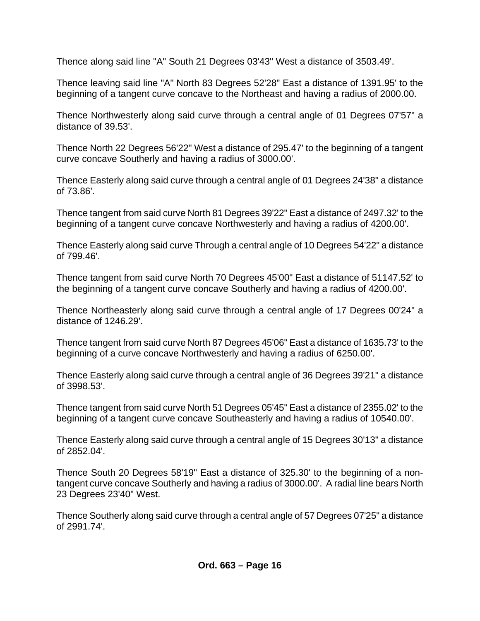Thence along said line "A" South 21 Degrees 03'43" West a distance of 3503.49'.

Thence leaving said line "A" North 83 Degrees 52'28" East a distance of 1391.95' to the beginning of a tangent curve concave to the Northeast and having a radius of 2000.00.

Thence Northwesterly along said curve through a central angle of 01 Degrees 07'57" a distance of 39.53'.

Thence North 22 Degrees 56'22" West a distance of 295.47' to the beginning of a tangent curve concave Southerly and having a radius of 3000.00'.

Thence Easterly along said curve through a central angle of 01 Degrees 24'38" a distance of 73.86'.

Thence tangent from said curve North 81 Degrees 39'22" East a distance of 2497.32' to the beginning of a tangent curve concave Northwesterly and having a radius of 4200.00'.

Thence Easterly along said curve Through a central angle of 10 Degrees 54'22" a distance of 799.46'.

Thence tangent from said curve North 70 Degrees 45'00" East a distance of 51147.52' to the beginning of a tangent curve concave Southerly and having a radius of 4200.00'.

Thence Northeasterly along said curve through a central angle of 17 Degrees 00'24" a distance of 1246.29'.

Thence tangent from said curve North 87 Degrees 45'06" East a distance of 1635.73' to the beginning of a curve concave Northwesterly and having a radius of 6250.00'.

Thence Easterly along said curve through a central angle of 36 Degrees 39'21" a distance of 3998.53'.

Thence tangent from said curve North 51 Degrees 05'45" East a distance of 2355.02' to the beginning of a tangent curve concave Southeasterly and having a radius of 10540.00'.

Thence Easterly along said curve through a central angle of 15 Degrees 30'13" a distance of 2852.04'.

Thence South 20 Degrees 58'19" East a distance of 325.30' to the beginning of a nontangent curve concave Southerly and having a radius of 3000.00'. A radial line bears North 23 Degrees 23'40" West.

Thence Southerly along said curve through a central angle of 57 Degrees 07'25" a distance of 2991.74'.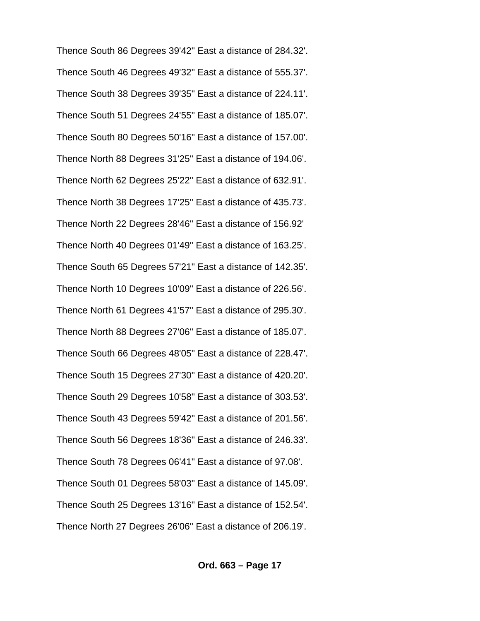Thence South 86 Degrees 39'42" East a distance of 284.32'. Thence South 46 Degrees 49'32" East a distance of 555.37'. Thence South 38 Degrees 39'35" East a distance of 224.11'. Thence South 51 Degrees 24'55" East a distance of 185.07'. Thence South 80 Degrees 50'16" East a distance of 157.00'. Thence North 88 Degrees 31'25" East a distance of 194.06'. Thence North 62 Degrees 25'22" East a distance of 632.91'. Thence North 38 Degrees 17'25" East a distance of 435.73'. Thence North 22 Degrees 28'46" East a distance of 156.92' Thence North 40 Degrees 01'49" East a distance of 163.25'. Thence South 65 Degrees 57'21" East a distance of 142.35'. Thence North 10 Degrees 10'09" East a distance of 226.56'. Thence North 61 Degrees 41'57" East a distance of 295.30'. Thence North 88 Degrees 27'06" East a distance of 185.07'. Thence South 66 Degrees 48'05" East a distance of 228.47'. Thence South 15 Degrees 27'30" East a distance of 420.20'. Thence South 29 Degrees 10'58" East a distance of 303.53'. Thence South 43 Degrees 59'42" East a distance of 201.56'. Thence South 56 Degrees 18'36" East a distance of 246.33'. Thence South 78 Degrees 06'41" East a distance of 97.08'. Thence South 01 Degrees 58'03" East a distance of 145.09'. Thence South 25 Degrees 13'16" East a distance of 152.54'. Thence North 27 Degrees 26'06" East a distance of 206.19'.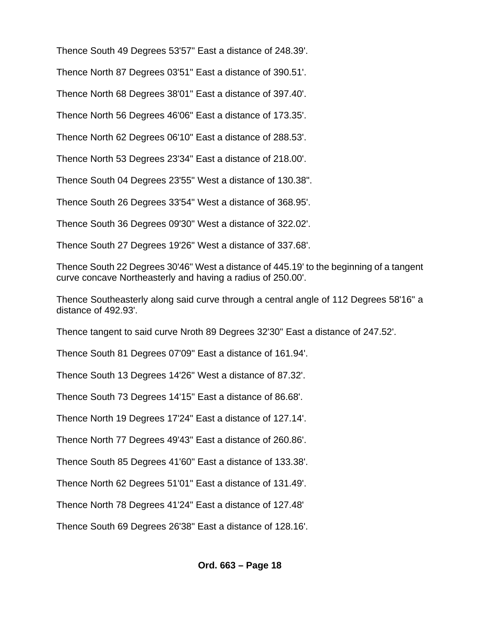Thence South 49 Degrees 53'57" East a distance of 248.39'.

Thence North 87 Degrees 03'51" East a distance of 390.51'.

Thence North 68 Degrees 38'01" East a distance of 397.40'.

Thence North 56 Degrees 46'06" East a distance of 173.35'.

Thence North 62 Degrees 06'10" East a distance of 288.53'.

Thence North 53 Degrees 23'34" East a distance of 218.00'.

Thence South 04 Degrees 23'55" West a distance of 130.38".

Thence South 26 Degrees 33'54" West a distance of 368.95'.

Thence South 36 Degrees 09'30" West a distance of 322.02'.

Thence South 27 Degrees 19'26" West a distance of 337.68'.

Thence South 22 Degrees 30'46" West a distance of 445.19' to the beginning of a tangent curve concave Northeasterly and having a radius of 250.00'.

Thence Southeasterly along said curve through a central angle of 112 Degrees 58'16" a distance of 492.93'.

Thence tangent to said curve Nroth 89 Degrees 32'30" East a distance of 247.52'.

Thence South 81 Degrees 07'09" East a distance of 161.94'.

Thence South 13 Degrees 14'26" West a distance of 87.32'.

Thence South 73 Degrees 14'15" East a distance of 86.68'.

Thence North 19 Degrees 17'24" East a distance of 127.14'.

Thence North 77 Degrees 49'43" East a distance of 260.86'.

Thence South 85 Degrees 41'60" East a distance of 133.38'.

Thence North 62 Degrees 51'01" East a distance of 131.49'.

Thence North 78 Degrees 41'24" East a distance of 127.48'

Thence South 69 Degrees 26'38" East a distance of 128.16'.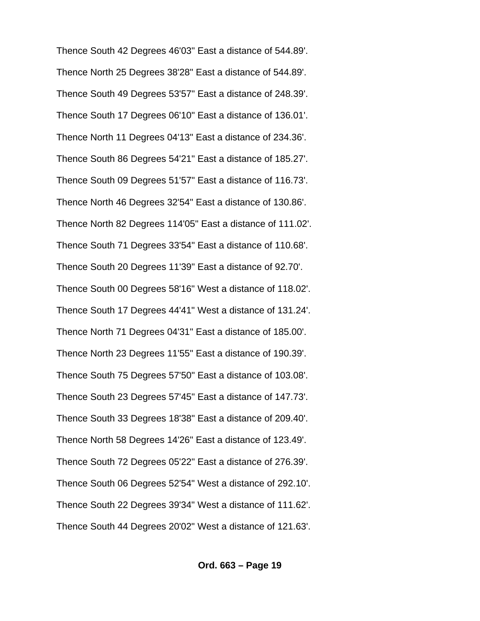Thence South 42 Degrees 46'03" East a distance of 544.89'. Thence North 25 Degrees 38'28" East a distance of 544.89'. Thence South 49 Degrees 53'57" East a distance of 248.39'. Thence South 17 Degrees 06'10" East a distance of 136.01'. Thence North 11 Degrees 04'13" East a distance of 234.36'. Thence South 86 Degrees 54'21" East a distance of 185.27'. Thence South 09 Degrees 51'57" East a distance of 116.73'. Thence North 46 Degrees 32'54" East a distance of 130.86'. Thence North 82 Degrees 114'05" East a distance of 111.02'. Thence South 71 Degrees 33'54" East a distance of 110.68'. Thence South 20 Degrees 11'39" East a distance of 92.70'. Thence South 00 Degrees 58'16" West a distance of 118.02'. Thence South 17 Degrees 44'41" West a distance of 131.24'. Thence North 71 Degrees 04'31" East a distance of 185.00'. Thence North 23 Degrees 11'55" East a distance of 190.39'. Thence South 75 Degrees 57'50" East a distance of 103.08'. Thence South 23 Degrees 57'45" East a distance of 147.73'. Thence South 33 Degrees 18'38" East a distance of 209.40'. Thence North 58 Degrees 14'26" East a distance of 123.49'. Thence South 72 Degrees 05'22" East a distance of 276.39'. Thence South 06 Degrees 52'54" West a distance of 292.10'. Thence South 22 Degrees 39'34" West a distance of 111.62'. Thence South 44 Degrees 20'02" West a distance of 121.63'.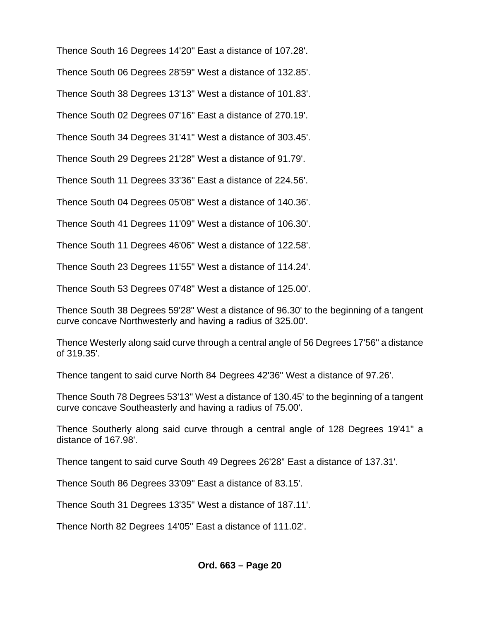Thence South 16 Degrees 14'20" East a distance of 107.28'.

Thence South 06 Degrees 28'59" West a distance of 132.85'.

Thence South 38 Degrees 13'13" West a distance of 101.83'.

Thence South 02 Degrees 07'16" East a distance of 270.19'.

Thence South 34 Degrees 31'41" West a distance of 303.45'.

Thence South 29 Degrees 21'28" West a distance of 91.79'.

Thence South 11 Degrees 33'36" East a distance of 224.56'.

Thence South 04 Degrees 05'08" West a distance of 140.36'.

Thence South 41 Degrees 11'09" West a distance of 106.30'.

Thence South 11 Degrees 46'06" West a distance of 122.58'.

Thence South 23 Degrees 11'55" West a distance of 114.24'.

Thence South 53 Degrees 07'48" West a distance of 125.00'.

Thence South 38 Degrees 59'28" West a distance of 96.30' to the beginning of a tangent curve concave Northwesterly and having a radius of 325.00'.

Thence Westerly along said curve through a central angle of 56 Degrees 17'56" a distance of 319.35'.

Thence tangent to said curve North 84 Degrees 42'36" West a distance of 97.26'.

Thence South 78 Degrees 53'13" West a distance of 130.45' to the beginning of a tangent curve concave Southeasterly and having a radius of 75.00'.

Thence Southerly along said curve through a central angle of 128 Degrees 19'41" a distance of 167.98'.

Thence tangent to said curve South 49 Degrees 26'28" East a distance of 137.31'.

Thence South 86 Degrees 33'09" East a distance of 83.15'.

Thence South 31 Degrees 13'35" West a distance of 187.11'.

Thence North 82 Degrees 14'05" East a distance of 111.02'.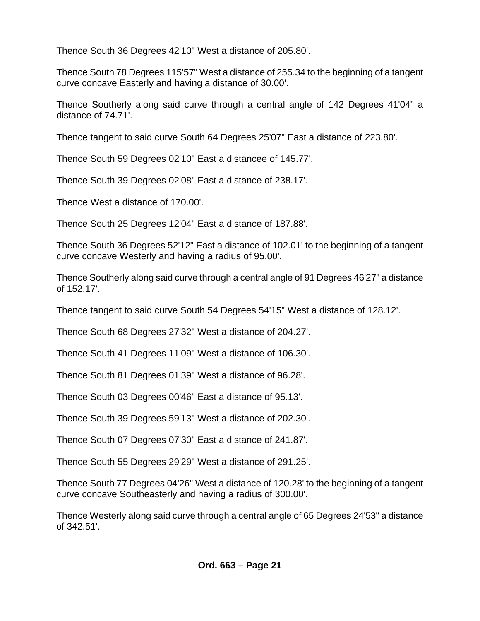Thence South 36 Degrees 42'10" West a distance of 205.80'.

Thence South 78 Degrees 115'57" West a distance of 255.34 to the beginning of a tangent curve concave Easterly and having a distance of 30.00'.

Thence Southerly along said curve through a central angle of 142 Degrees 41'04" a distance of 74.71'.

Thence tangent to said curve South 64 Degrees 25'07" East a distance of 223.80'.

Thence South 59 Degrees 02'10" East a distancee of 145.77'.

Thence South 39 Degrees 02'08" East a distance of 238.17'.

Thence West a distance of 170.00'.

Thence South 25 Degrees 12'04" East a distance of 187.88'.

Thence South 36 Degrees 52'12" East a distance of 102.01' to the beginning of a tangent curve concave Westerly and having a radius of 95.00'.

Thence Southerly along said curve through a central angle of 91 Degrees 46'27" a distance of 152.17'.

Thence tangent to said curve South 54 Degrees 54'15" West a distance of 128.12'.

Thence South 68 Degrees 27'32" West a distance of 204.27'.

Thence South 41 Degrees 11'09" West a distance of 106.30'.

Thence South 81 Degrees 01'39" West a distance of 96.28'.

Thence South 03 Degrees 00'46" East a distance of 95.13'.

Thence South 39 Degrees 59'13" West a distance of 202.30'.

Thence South 07 Degrees 07'30" East a distance of 241.87'.

Thence South 55 Degrees 29'29" West a distance of 291.25'.

Thence South 77 Degrees 04'26" West a distance of 120.28' to the beginning of a tangent curve concave Southeasterly and having a radius of 300.00'.

Thence Westerly along said curve through a central angle of 65 Degrees 24'53" a distance of 342.51'.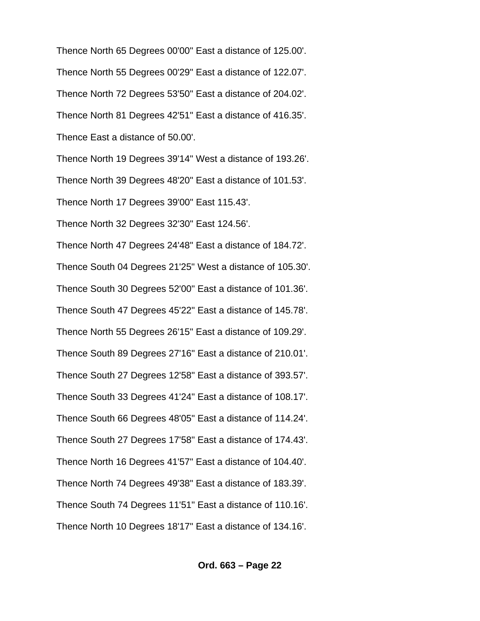Thence North 65 Degrees 00'00" East a distance of 125.00'. Thence North 55 Degrees 00'29" East a distance of 122.07'. Thence North 72 Degrees 53'50" East a distance of 204.02'. Thence North 81 Degrees 42'51" East a distance of 416.35'. Thence East a distance of 50.00'. Thence North 19 Degrees 39'14" West a distance of 193.26'. Thence North 39 Degrees 48'20" East a distance of 101.53'. Thence North 17 Degrees 39'00" East 115.43'. Thence North 32 Degrees 32'30" East 124.56'. Thence North 47 Degrees 24'48" East a distance of 184.72'. Thence South 04 Degrees 21'25" West a distance of 105.30'. Thence South 30 Degrees 52'00" East a distance of 101.36'. Thence South 47 Degrees 45'22" East a distance of 145.78'. Thence North 55 Degrees 26'15" East a distance of 109.29'. Thence South 89 Degrees 27'16" East a distance of 210.01'. Thence South 27 Degrees 12'58" East a distance of 393.57'. Thence South 33 Degrees 41'24" East a distance of 108.17'. Thence South 66 Degrees 48'05" East a distance of 114.24'. Thence South 27 Degrees 17'58" East a distance of 174.43'. Thence North 16 Degrees 41'57" East a distance of 104.40'. Thence North 74 Degrees 49'38" East a distance of 183.39'. Thence South 74 Degrees 11'51" East a distance of 110.16'. Thence North 10 Degrees 18'17" East a distance of 134.16'.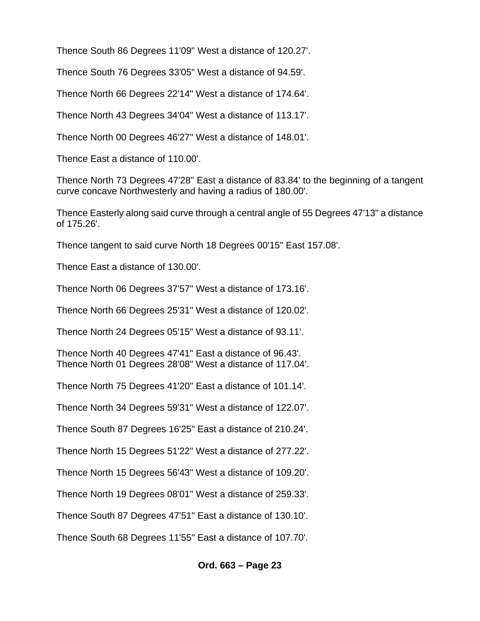Thence South 86 Degrees 11'09" West a distance of 120.27'.

Thence South 76 Degrees 33'05" West a distance of 94.59'.

Thence North 66 Degrees 22'14" West a distance of 174.64'.

Thence North 43 Degrees 34'04" West a distance of 113.17'.

Thence North 00 Degrees 46'27" West a distance of 148.01'.

Thence East a distance of 110.00'.

Thence North 73 Degrees 47'28" East a distance of 83.84' to the beginning of a tangent curve concave Northwesterly and having a radius of 180.00'.

Thence Easterly along said curve through a central angle of 55 Degrees 47'13" a distance of 175.26'.

Thence tangent to said curve North 18 Degrees 00'15" East 157.08'.

Thence East a distance of 130.00'.

Thence North 06 Degrees 37'57" West a distance of 173.16'.

Thence North 66 Degrees 25'31" West a distance of 120.02'.

Thence North 24 Degrees 05'15" West a distance of 93.11'.

Thence North 40 Degrees 47'41" East a distance of 96.43'. Thence North 01 Degrees 28'08" West a distance of 117.04'.

Thence North 75 Degrees 41'20" East a distance of 101.14'.

Thence North 34 Degrees 59'31" West a distance of 122.07'.

Thence South 87 Degrees 16'25" East a distance of 210.24'.

Thence North 15 Degrees 51'22" West a distance of 277.22'.

Thence North 15 Degrees 56'43" West a distance of 109.20'.

Thence North 19 Degrees 08'01" West a distance of 259.33'.

Thence South 87 Degrees 47'51" East a distance of 130.10'.

Thence South 68 Degrees 11'55" East a distance of 107.70'.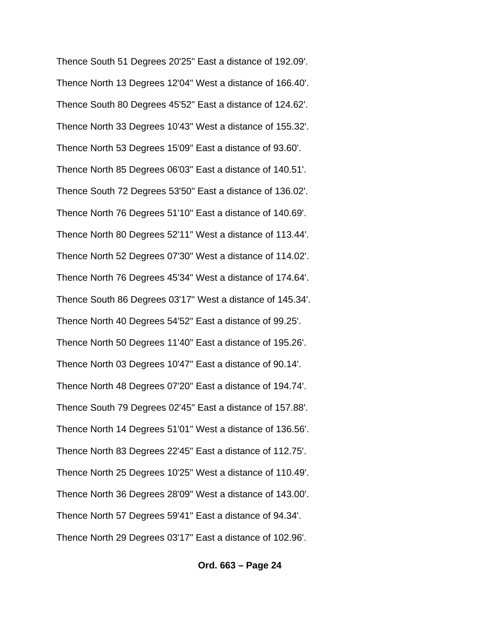Thence South 51 Degrees 20'25" East a distance of 192.09'. Thence North 13 Degrees 12'04" West a distance of 166.40'. Thence South 80 Degrees 45'52" East a distance of 124.62'. Thence North 33 Degrees 10'43" West a distance of 155.32'. Thence North 53 Degrees 15'09" East a distance of 93.60'. Thence North 85 Degrees 06'03" East a distance of 140.51'. Thence South 72 Degrees 53'50" East a distance of 136.02'. Thence North 76 Degrees 51'10" East a distance of 140.69'. Thence North 80 Degrees 52'11" West a distance of 113.44'. Thence North 52 Degrees 07'30" West a distance of 114.02'. Thence North 76 Degrees 45'34" West a distance of 174.64'. Thence South 86 Degrees 03'17" West a distance of 145.34'. Thence North 40 Degrees 54'52" East a distance of 99.25'. Thence North 50 Degrees 11'40" East a distance of 195.26'. Thence North 03 Degrees 10'47" East a distance of 90.14'. Thence North 48 Degrees 07'20" East a distance of 194.74'. Thence South 79 Degrees 02'45" East a distance of 157.88'. Thence North 14 Degrees 51'01" West a distance of 136.56'. Thence North 83 Degrees 22'45" East a distance of 112.75'. Thence North 25 Degrees 10'25" West a distance of 110.49'. Thence North 36 Degrees 28'09" West a distance of 143.00'. Thence North 57 Degrees 59'41" East a distance of 94.34'. Thence North 29 Degrees 03'17" East a distance of 102.96'.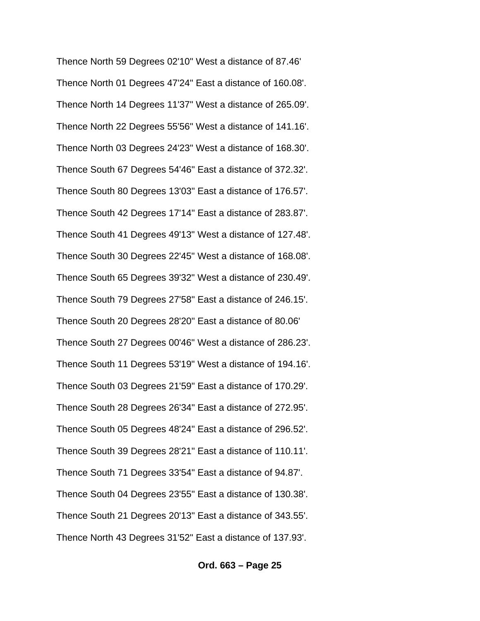Thence North 59 Degrees 02'10" West a distance of 87.46' Thence North 01 Degrees 47'24" East a distance of 160.08'. Thence North 14 Degrees 11'37" West a distance of 265.09'. Thence North 22 Degrees 55'56" West a distance of 141.16'. Thence North 03 Degrees 24'23" West a distance of 168.30'. Thence South 67 Degrees 54'46" East a distance of 372.32'. Thence South 80 Degrees 13'03" East a distance of 176.57'. Thence South 42 Degrees 17'14" East a distance of 283.87'. Thence South 41 Degrees 49'13" West a distance of 127.48'. Thence South 30 Degrees 22'45" West a distance of 168.08'. Thence South 65 Degrees 39'32" West a distance of 230.49'. Thence South 79 Degrees 27'58" East a distance of 246.15'. Thence South 20 Degrees 28'20" East a distance of 80.06' Thence South 27 Degrees 00'46" West a distance of 286.23'. Thence South 11 Degrees 53'19" West a distance of 194.16'. Thence South 03 Degrees 21'59" East a distance of 170.29'. Thence South 28 Degrees 26'34" East a distance of 272.95'. Thence South 05 Degrees 48'24" East a distance of 296.52'. Thence South 39 Degrees 28'21" East a distance of 110.11'. Thence South 71 Degrees 33'54" East a distance of 94.87'. Thence South 04 Degrees 23'55" East a distance of 130.38'. Thence South 21 Degrees 20'13" East a distance of 343.55'. Thence North 43 Degrees 31'52" East a distance of 137.93'.

#### **Ord. 663 – Page 25**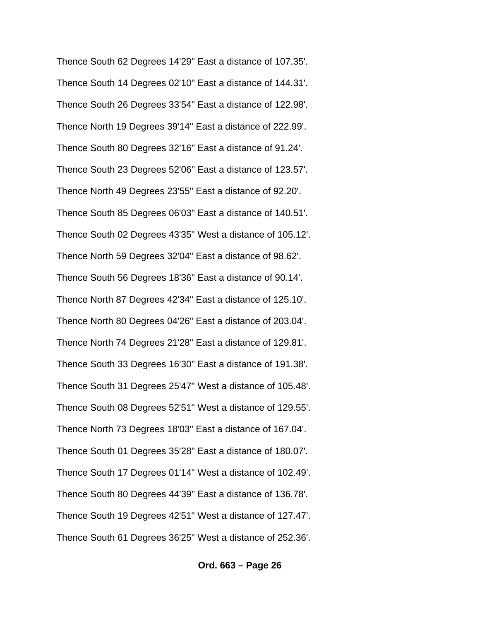Thence South 62 Degrees 14'29" East a distance of 107.35'. Thence South 14 Degrees 02'10" East a distance of 144.31'. Thence South 26 Degrees 33'54" East a distance of 122.98'. Thence North 19 Degrees 39'14" East a distance of 222.99'. Thence South 80 Degrees 32'16" East a distance of 91.24'. Thence South 23 Degrees 52'06" East a distance of 123.57'. Thence North 49 Degrees 23'55" East a distance of 92.20'. Thence South 85 Degrees 06'03" East a distance of 140.51'. Thence South 02 Degrees 43'35" West a distance of 105.12'. Thence North 59 Degrees 32'04" East a distance of 98.62'. Thence South 56 Degrees 18'36" East a distance of 90.14'. Thence North 87 Degrees 42'34" East a distance of 125.10'. Thence North 80 Degrees 04'26" East a distance of 203.04'. Thence North 74 Degrees 21'28" East a distance of 129.81'. Thence South 33 Degrees 16'30" East a distance of 191.38'. Thence South 31 Degrees 25'47" West a distance of 105.48'. Thence South 08 Degrees 52'51" West a distance of 129.55'. Thence North 73 Degrees 18'03" East a distance of 167.04'. Thence South 01 Degrees 35'28" East a distance of 180.07'. Thence South 17 Degrees 01'14" West a distance of 102.49'. Thence South 80 Degrees 44'39" East a distance of 136.78'. Thence South 19 Degrees 42'51" West a distance of 127.47'. Thence South 61 Degrees 36'25" West a distance of 252.36'.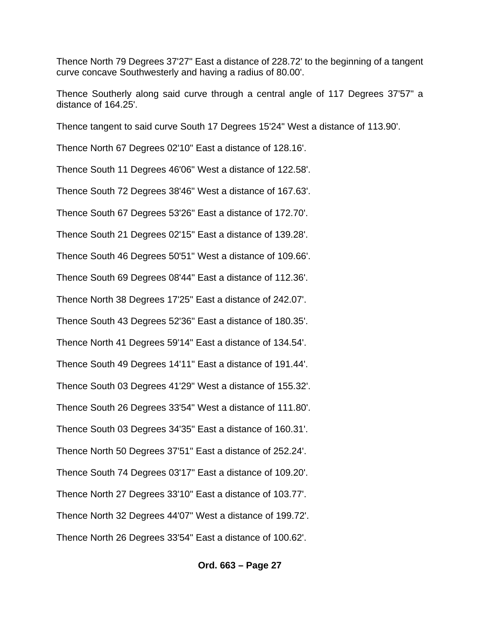Thence North 79 Degrees 37'27" East a distance of 228.72' to the beginning of a tangent curve concave Southwesterly and having a radius of 80.00'.

Thence Southerly along said curve through a central angle of 117 Degrees 37'57" a distance of 164.25'.

Thence tangent to said curve South 17 Degrees 15'24" West a distance of 113.90'.

Thence North 67 Degrees 02'10" East a distance of 128.16'.

Thence South 11 Degrees 46'06" West a distance of 122.58'.

Thence South 72 Degrees 38'46" West a distance of 167.63'.

Thence South 67 Degrees 53'26" East a distance of 172.70'.

Thence South 21 Degrees 02'15" East a distance of 139.28'.

Thence South 46 Degrees 50'51" West a distance of 109.66'.

Thence South 69 Degrees 08'44" East a distance of 112.36'.

Thence North 38 Degrees 17'25" East a distance of 242.07'.

Thence South 43 Degrees 52'36" East a distance of 180.35'.

Thence North 41 Degrees 59'14" East a distance of 134.54'.

Thence South 49 Degrees 14'11" East a distance of 191.44'.

Thence South 03 Degrees 41'29" West a distance of 155.32'.

Thence South 26 Degrees 33'54" West a distance of 111.80'.

Thence South 03 Degrees 34'35" East a distance of 160.31'.

Thence North 50 Degrees 37'51" East a distance of 252.24'.

Thence South 74 Degrees 03'17" East a distance of 109.20'.

Thence North 27 Degrees 33'10" East a distance of 103.77'.

Thence North 32 Degrees 44'07" West a distance of 199.72'.

Thence North 26 Degrees 33'54" East a distance of 100.62'.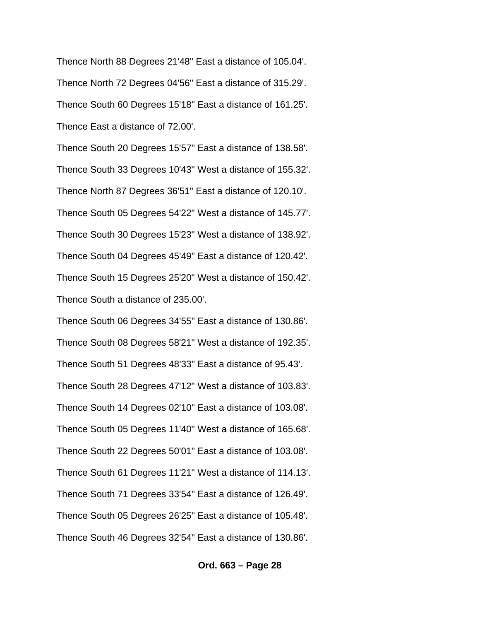Thence North 88 Degrees 21'48" East a distance of 105.04'. Thence North 72 Degrees 04'56" East a distance of 315.29'. Thence South 60 Degrees 15'18" East a distance of 161.25'. Thence East a distance of 72.00'.

Thence South 20 Degrees 15'57" East a distance of 138.58'. Thence South 33 Degrees 10'43" West a distance of 155.32'. Thence North 87 Degrees 36'51" East a distance of 120.10'. Thence South 05 Degrees 54'22" West a distance of 145.77'. Thence South 30 Degrees 15'23" West a distance of 138.92'. Thence South 04 Degrees 45'49" East a distance of 120.42'. Thence South 15 Degrees 25'20" West a distance of 150.42'. Thence South a distance of 235.00'.

Thence South 06 Degrees 34'55" East a distance of 130.86'. Thence South 08 Degrees 58'21" West a distance of 192.35'. Thence South 51 Degrees 48'33" East a distance of 95.43'. Thence South 28 Degrees 47'12" West a distance of 103.83'. Thence South 14 Degrees 02'10" East a distance of 103.08'. Thence South 05 Degrees 11'40" West a distance of 165.68'. Thence South 22 Degrees 50'01" East a distance of 103.08'. Thence South 61 Degrees 11'21" West a distance of 114.13'. Thence South 71 Degrees 33'54" East a distance of 126.49'. Thence South 05 Degrees 26'25" East a distance of 105.48'. Thence South 46 Degrees 32'54" East a distance of 130.86'.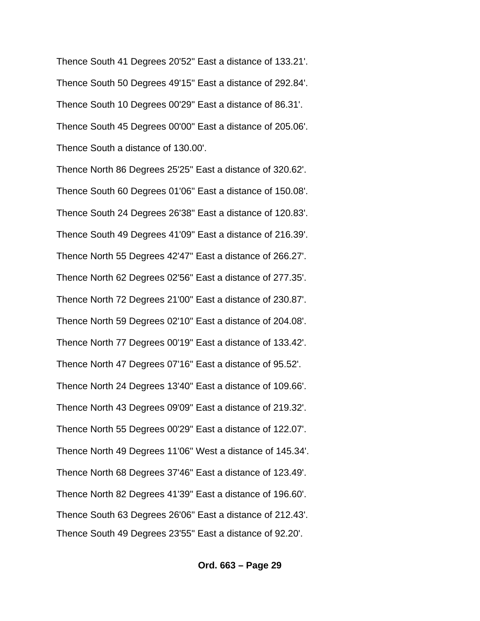Thence South 41 Degrees 20'52" East a distance of 133.21'. Thence South 50 Degrees 49'15" East a distance of 292.84'. Thence South 10 Degrees 00'29" East a distance of 86.31'. Thence South 45 Degrees 00'00" East a distance of 205.06'. Thence South a distance of 130.00'.

Thence North 86 Degrees 25'25" East a distance of 320.62'. Thence South 60 Degrees 01'06" East a distance of 150.08'. Thence South 24 Degrees 26'38" East a distance of 120.83'. Thence South 49 Degrees 41'09" East a distance of 216.39'. Thence North 55 Degrees 42'47" East a distance of 266.27'. Thence North 62 Degrees 02'56" East a distance of 277.35'. Thence North 72 Degrees 21'00" East a distance of 230.87'. Thence North 59 Degrees 02'10" East a distance of 204.08'. Thence North 77 Degrees 00'19" East a distance of 133.42'. Thence North 47 Degrees 07'16" East a distance of 95.52'. Thence North 24 Degrees 13'40" East a distance of 109.66'. Thence North 43 Degrees 09'09" East a distance of 219.32'. Thence North 55 Degrees 00'29" East a distance of 122.07'. Thence North 49 Degrees 11'06" West a distance of 145.34'. Thence North 68 Degrees 37'46" East a distance of 123.49'. Thence North 82 Degrees 41'39" East a distance of 196.60'. Thence South 63 Degrees 26'06" East a distance of 212.43'. Thence South 49 Degrees 23'55" East a distance of 92.20'.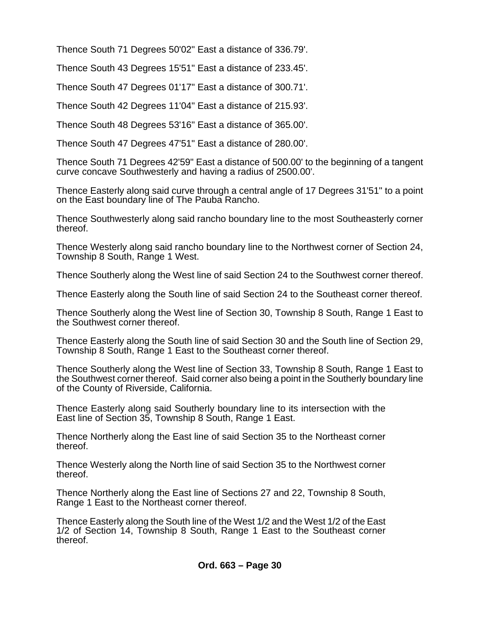Thence South 71 Degrees 50'02" East a distance of 336.79'.

Thence South 43 Degrees 15'51" East a distance of 233.45'.

Thence South 47 Degrees 01'17" East a distance of 300.71'.

Thence South 42 Degrees 11'04" East a distance of 215.93'.

Thence South 48 Degrees 53'16" East a distance of 365.00'.

Thence South 47 Degrees 47'51" East a distance of 280.00'.

Thence South 71 Degrees 42'59" East a distance of 500.00' to the beginning of a tangent curve concave Southwesterly and having a radius of 2500.00'.

Thence Easterly along said curve through a central angle of 17 Degrees 31'51" to a point on the East boundary line of The Pauba Rancho.

Thence Southwesterly along said rancho boundary line to the most Southeasterly corner thereof.

Thence Westerly along said rancho boundary line to the Northwest corner of Section 24, Township 8 South, Range 1 West.

Thence Southerly along the West line of said Section 24 to the Southwest corner thereof.

Thence Easterly along the South line of said Section 24 to the Southeast corner thereof.

Thence Southerly along the West line of Section 30, Township 8 South, Range 1 East to the Southwest corner thereof.

Thence Easterly along the South line of said Section 30 and the South line of Section 29, Township 8 South, Range 1 East to the Southeast corner thereof.

Thence Southerly along the West line of Section 33, Township 8 South, Range 1 East to the Southwest corner thereof. Said corner also being a point in the Southerly boundary line of the County of Riverside, California.

Thence Easterly along said Southerly boundary line to its intersection with the East line of Section 35, Township 8 South, Range 1 East.

Thence Northerly along the East line of said Section 35 to the Northeast corner thereof.

Thence Westerly along the North line of said Section 35 to the Northwest corner thereof.

Thence Northerly along the East line of Sections 27 and 22, Township 8 South, Range 1 East to the Northeast corner thereof.

Thence Easterly along the South line of the West 1/2 and the West 1/2 of the East 1/2 of Section 14, Township 8 South, Range 1 East to the Southeast corner thereof.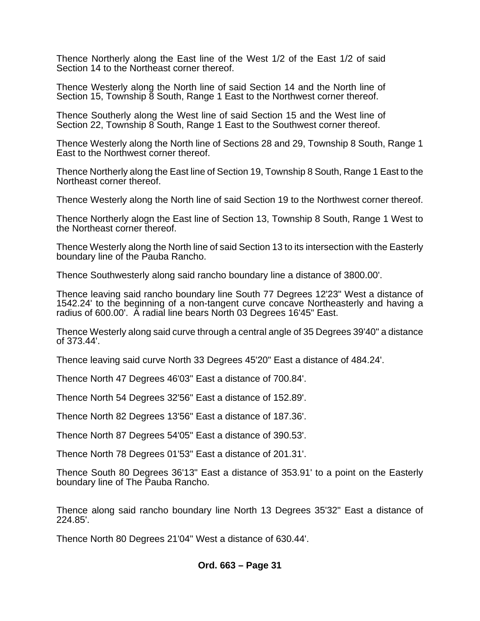Thence Northerly along the East line of the West 1/2 of the East 1/2 of said Section 14 to the Northeast corner thereof.

Thence Westerly along the North line of said Section 14 and the North line of Section 15, Township 8 South, Range 1 East to the Northwest corner thereof.

Thence Southerly along the West line of said Section 15 and the West line of Section 22, Township 8 South, Range 1 East to the Southwest corner thereof.

Thence Westerly along the North line of Sections 28 and 29, Township 8 South, Range 1 East to the Northwest corner thereof.

Thence Northerly along the East line of Section 19, Township 8 South, Range 1 East to the Northeast corner thereof.

Thence Westerly along the North line of said Section 19 to the Northwest corner thereof.

Thence Northerly alogn the East line of Section 13, Township 8 South, Range 1 West to the Northeast corner thereof.

Thence Westerly along the North line of said Section 13 to its intersection with the Easterly boundary line of the Pauba Rancho.

Thence Southwesterly along said rancho boundary line a distance of 3800.00'.

Thence leaving said rancho boundary line South 77 Degrees 12'23" West a distance of 1542.24' to the beginning of a non-tangent curve concave Northeasterly and having a radius of 600.00'. A radial line bears North 03 Degrees 16'45" East.

Thence Westerly along said curve through a central angle of 35 Degrees 39'40" a distance of 373.44'.

Thence leaving said curve North 33 Degrees 45'20" East a distance of 484.24'.

Thence North 47 Degrees 46'03" East a distance of 700.84'.

Thence North 54 Degrees 32'56" East a distance of 152.89'.

Thence North 82 Degrees 13'56" East a distance of 187.36'.

Thence North 87 Degrees 54'05" East a distance of 390.53'.

Thence North 78 Degrees 01'53" East a distance of 201.31'.

Thence South 80 Degrees 36'13" East a distance of 353.91' to a point on the Easterly boundary line of The Pauba Rancho.

Thence along said rancho boundary line North 13 Degrees 35'32" East a distance of 224.85'.

Thence North 80 Degrees 21'04" West a distance of 630.44'.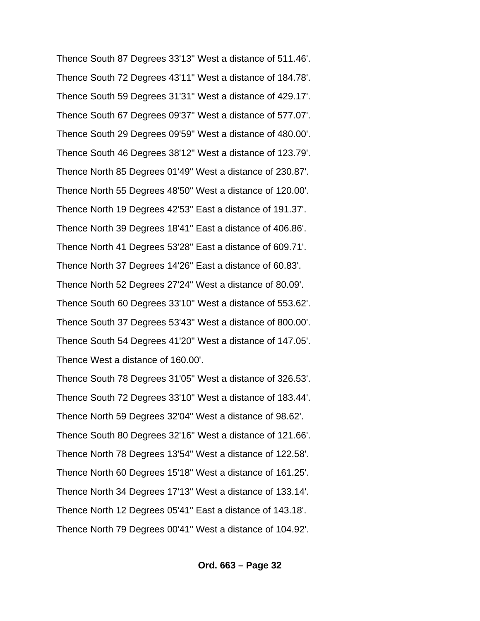Thence South 87 Degrees 33'13" West a distance of 511.46'. Thence South 72 Degrees 43'11" West a distance of 184.78'. Thence South 59 Degrees 31'31" West a distance of 429.17'. Thence South 67 Degrees 09'37" West a distance of 577.07'. Thence South 29 Degrees 09'59" West a distance of 480.00'. Thence South 46 Degrees 38'12" West a distance of 123.79'. Thence North 85 Degrees 01'49" West a distance of 230.87'. Thence North 55 Degrees 48'50" West a distance of 120.00'. Thence North 19 Degrees 42'53" East a distance of 191.37'. Thence North 39 Degrees 18'41" East a distance of 406.86'. Thence North 41 Degrees 53'28" East a distance of 609.71'. Thence North 37 Degrees 14'26" East a distance of 60.83'. Thence North 52 Degrees 27'24" West a distance of 80.09'. Thence South 60 Degrees 33'10" West a distance of 553.62'. Thence South 37 Degrees 53'43" West a distance of 800.00'. Thence South 54 Degrees 41'20" West a distance of 147.05'. Thence West a distance of 160.00'.

Thence South 78 Degrees 31'05" West a distance of 326.53'. Thence South 72 Degrees 33'10" West a distance of 183.44'. Thence North 59 Degrees 32'04" West a distance of 98.62'. Thence South 80 Degrees 32'16" West a distance of 121.66'. Thence North 78 Degrees 13'54" West a distance of 122.58'. Thence North 60 Degrees 15'18" West a distance of 161.25'. Thence North 34 Degrees 17'13" West a distance of 133.14'. Thence North 12 Degrees 05'41" East a distance of 143.18'. Thence North 79 Degrees 00'41" West a distance of 104.92'.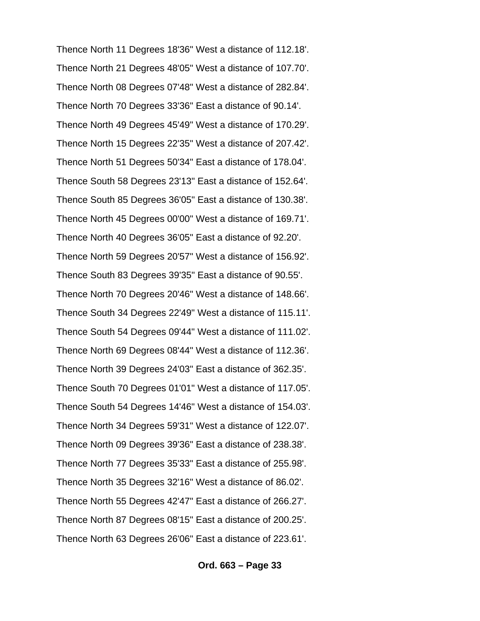Thence North 11 Degrees 18'36" West a distance of 112.18'. Thence North 21 Degrees 48'05" West a distance of 107.70'. Thence North 08 Degrees 07'48" West a distance of 282.84'. Thence North 70 Degrees 33'36" East a distance of 90.14'. Thence North 49 Degrees 45'49" West a distance of 170.29'. Thence North 15 Degrees 22'35" West a distance of 207.42'. Thence North 51 Degrees 50'34" East a distance of 178.04'. Thence South 58 Degrees 23'13" East a distance of 152.64'. Thence South 85 Degrees 36'05" East a distance of 130.38'. Thence North 45 Degrees 00'00" West a distance of 169.71'. Thence North 40 Degrees 36'05" East a distance of 92.20'. Thence North 59 Degrees 20'57" West a distance of 156.92'. Thence South 83 Degrees 39'35" East a distance of 90.55'. Thence North 70 Degrees 20'46" West a distance of 148.66'. Thence South 34 Degrees 22'49" West a distance of 115.11'. Thence South 54 Degrees 09'44" West a distance of 111.02'. Thence North 69 Degrees 08'44" West a distance of 112.36'. Thence North 39 Degrees 24'03" East a distance of 362.35'. Thence South 70 Degrees 01'01" West a distance of 117.05'. Thence South 54 Degrees 14'46" West a distance of 154.03'. Thence North 34 Degrees 59'31" West a distance of 122.07'. Thence North 09 Degrees 39'36" East a distance of 238.38'. Thence North 77 Degrees 35'33" East a distance of 255.98'. Thence North 35 Degrees 32'16" West a distance of 86.02'. Thence North 55 Degrees 42'47" East a distance of 266.27'. Thence North 87 Degrees 08'15" East a distance of 200.25'. Thence North 63 Degrees 26'06" East a distance of 223.61'.

#### **Ord. 663 – Page 33**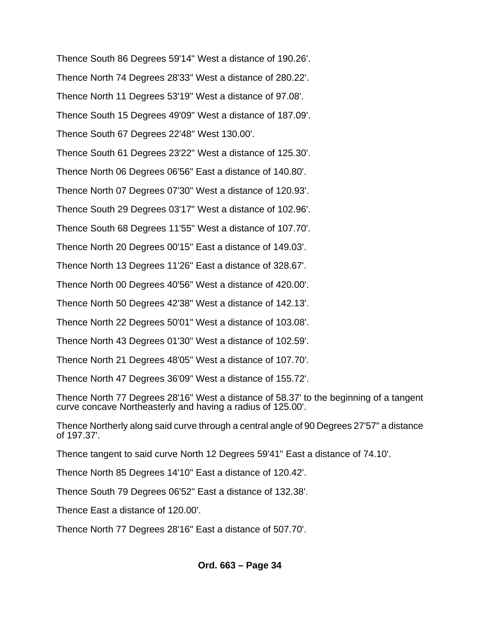Thence South 86 Degrees 59'14" West a distance of 190.26'. Thence North 74 Degrees 28'33" West a distance of 280.22'. Thence North 11 Degrees 53'19" West a distance of 97.08'. Thence South 15 Degrees 49'09" West a distance of 187.09'. Thence South 67 Degrees 22'48" West 130.00'. Thence South 61 Degrees 23'22" West a distance of 125.30'. Thence North 06 Degrees 06'56" East a distance of 140.80'. Thence North 07 Degrees 07'30" West a distance of 120.93'. Thence South 29 Degrees 03'17" West a distance of 102.96'. Thence South 68 Degrees 11'55" West a distance of 107.70'. Thence North 20 Degrees 00'15" East a distance of 149.03'. Thence North 13 Degrees 11'26" East a distance of 328.67'. Thence North 00 Degrees 40'56" West a distance of 420.00'. Thence North 50 Degrees 42'38" West a distance of 142.13'. Thence North 22 Degrees 50'01" West a distance of 103.08'. Thence North 43 Degrees 01'30" West a distance of 102.59'. Thence North 21 Degrees 48'05" West a distance of 107.70'. Thence North 47 Degrees 36'09" West a distance of 155.72'. Thence North 77 Degrees 28'16" West a distance of 58.37' to the beginning of a tangent curve concave Northeasterly and having a radius of 125.00'.

Thence Northerly along said curve through a central angle of 90 Degrees 27'57" a distance of 197.37'.

Thence tangent to said curve North 12 Degrees 59'41" East a distance of 74.10'.

Thence North 85 Degrees 14'10" East a distance of 120.42'.

Thence South 79 Degrees 06'52" East a distance of 132.38'.

Thence East a distance of 120.00'.

Thence North 77 Degrees 28'16" East a distance of 507.70'.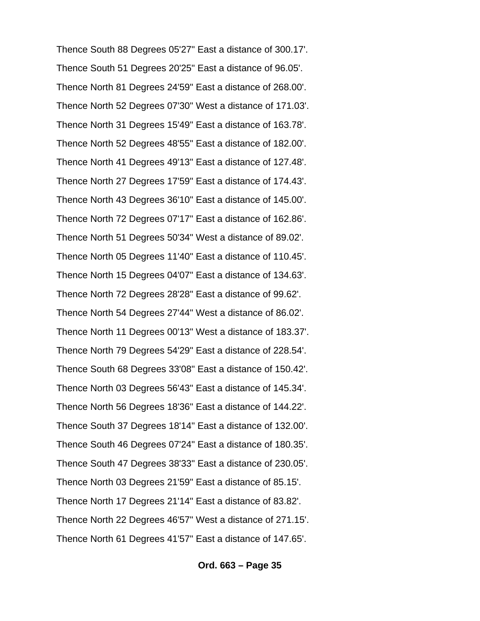Thence South 88 Degrees 05'27" East a distance of 300.17'. Thence South 51 Degrees 20'25" East a distance of 96.05'. Thence North 81 Degrees 24'59" East a distance of 268.00'. Thence North 52 Degrees 07'30" West a distance of 171.03'. Thence North 31 Degrees 15'49" East a distance of 163.78'. Thence North 52 Degrees 48'55" East a distance of 182.00'. Thence North 41 Degrees 49'13" East a distance of 127.48'. Thence North 27 Degrees 17'59" East a distance of 174.43'. Thence North 43 Degrees 36'10" East a distance of 145.00'. Thence North 72 Degrees 07'17" East a distance of 162.86'. Thence North 51 Degrees 50'34" West a distance of 89.02'. Thence North 05 Degrees 11'40" East a distance of 110.45'. Thence North 15 Degrees 04'07" East a distance of 134.63'. Thence North 72 Degrees 28'28" East a distance of 99.62'. Thence North 54 Degrees 27'44" West a distance of 86.02'. Thence North 11 Degrees 00'13" West a distance of 183.37'. Thence North 79 Degrees 54'29" East a distance of 228.54'. Thence South 68 Degrees 33'08" East a distance of 150.42'. Thence North 03 Degrees 56'43" East a distance of 145.34'. Thence North 56 Degrees 18'36" East a distance of 144.22'. Thence South 37 Degrees 18'14" East a distance of 132.00'. Thence South 46 Degrees 07'24" East a distance of 180.35'. Thence South 47 Degrees 38'33" East a distance of 230.05'. Thence North 03 Degrees 21'59" East a distance of 85.15'. Thence North 17 Degrees 21'14" East a distance of 83.82'. Thence North 22 Degrees 46'57" West a distance of 271.15'. Thence North 61 Degrees 41'57" East a distance of 147.65'.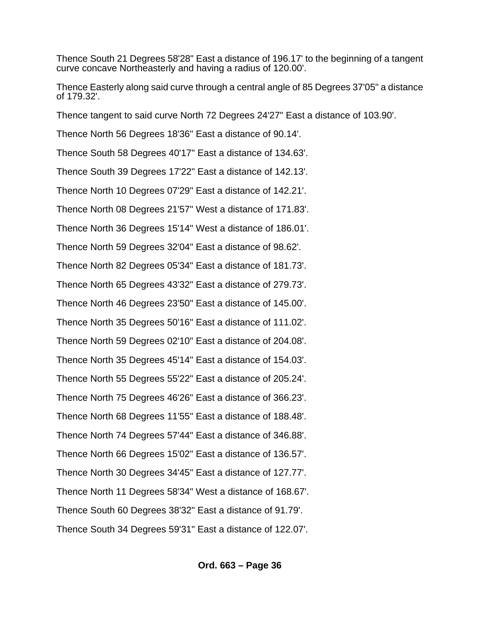Thence South 21 Degrees 58'28" East a distance of 196.17' to the beginning of a tangent curve concave Northeasterly and having a radius of 120.00'.

Thence Easterly along said curve through a central angle of 85 Degrees 37'05" a distance of 179.32'.

Thence tangent to said curve North 72 Degrees 24'27" East a distance of 103.90'.

Thence North 56 Degrees 18'36" East a distance of 90.14'.

Thence South 58 Degrees 40'17" East a distance of 134.63'.

Thence South 39 Degrees 17'22" East a distance of 142.13'.

Thence North 10 Degrees 07'29" East a distance of 142.21'.

Thence North 08 Degrees 21'57" West a distance of 171.83'.

Thence North 36 Degrees 15'14" West a distance of 186.01'.

Thence North 59 Degrees 32'04" East a distance of 98.62'.

Thence North 82 Degrees 05'34" East a distance of 181.73'.

Thence North 65 Degrees 43'32" East a distance of 279.73'.

Thence North 46 Degrees 23'50" East a distance of 145.00'.

Thence North 35 Degrees 50'16" East a distance of 111.02'.

Thence North 59 Degrees 02'10" East a distance of 204.08'.

Thence North 35 Degrees 45'14" East a distance of 154.03'.

Thence North 55 Degrees 55'22" East a distance of 205.24'.

Thence North 75 Degrees 46'26" East a distance of 366.23'.

Thence North 68 Degrees 11'55" East a distance of 188.48'.

Thence North 74 Degrees 57'44" East a distance of 346.88'.

Thence North 66 Degrees 15'02" East a distance of 136.57'.

Thence North 30 Degrees 34'45" East a distance of 127.77'.

Thence North 11 Degrees 58'34" West a distance of 168.67'.

Thence South 60 Degrees 38'32" East a distance of 91.79'. Thence South 34 Degrees 59'31" East a distance of 122.07'.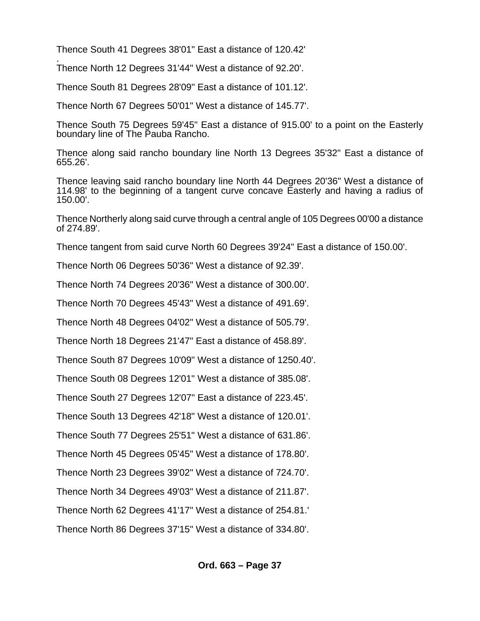Thence South 41 Degrees 38'01" East a distance of 120.42'

. Thence North 12 Degrees 31'44" West a distance of 92.20'.

Thence South 81 Degrees 28'09" East a distance of 101.12'.

Thence North 67 Degrees 50'01" West a distance of 145.77'.

Thence South 75 Degrees 59'45" East a distance of 915.00' to a point on the Easterly boundary line of The Pauba Rancho.

Thence along said rancho boundary line North 13 Degrees 35'32" East a distance of 655.26'.

Thence leaving said rancho boundary line North 44 Degrees 20'36" West a distance of 114.98' to the beginning of a tangent curve concave Easterly and having a radius of 150.00'.

Thence Northerly along said curve through a central angle of 105 Degrees 00'00 a distance of 274.89'.

Thence tangent from said curve North 60 Degrees 39'24" East a distance of 150.00'.

Thence North 06 Degrees 50'36" West a distance of 92.39'.

Thence North 74 Degrees 20'36" West a distance of 300.00'.

Thence North 70 Degrees 45'43" West a distance of 491.69'.

Thence North 48 Degrees 04'02" West a distance of 505.79'.

Thence North 18 Degrees 21'47" East a distance of 458.89'.

Thence South 87 Degrees 10'09" West a distance of 1250.40'.

Thence South 08 Degrees 12'01" West a distance of 385.08'.

Thence South 27 Degrees 12'07" East a distance of 223.45'.

Thence South 13 Degrees 42'18" West a distance of 120.01'.

Thence South 77 Degrees 25'51" West a distance of 631.86'.

Thence North 45 Degrees 05'45" West a distance of 178.80'.

Thence North 23 Degrees 39'02" West a distance of 724.70'.

Thence North 34 Degrees 49'03" West a distance of 211.87'.

Thence North 62 Degrees 41'17" West a distance of 254.81.'

Thence North 86 Degrees 37'15" West a distance of 334.80'.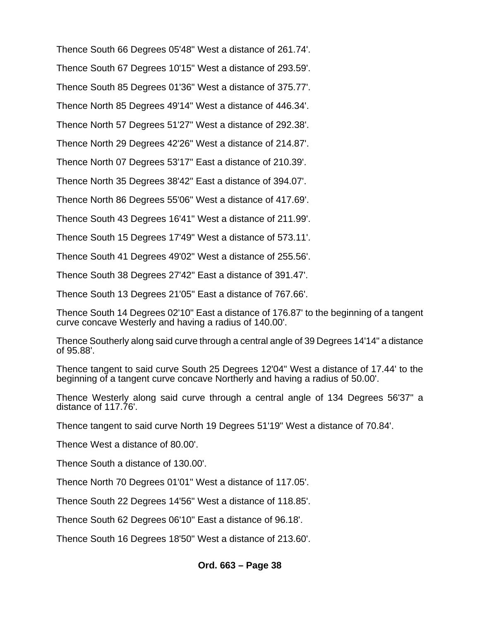Thence South 66 Degrees 05'48" West a distance of 261.74'.

Thence South 67 Degrees 10'15" West a distance of 293.59'.

Thence South 85 Degrees 01'36" West a distance of 375.77'.

Thence North 85 Degrees 49'14" West a distance of 446.34'.

Thence North 57 Degrees 51'27" West a distance of 292.38'.

Thence North 29 Degrees 42'26" West a distance of 214.87'.

Thence North 07 Degrees 53'17" East a distance of 210.39'.

Thence North 35 Degrees 38'42" East a distance of 394.07'.

Thence North 86 Degrees 55'06" West a distance of 417.69'.

Thence South 43 Degrees 16'41" West a distance of 211.99'.

Thence South 15 Degrees 17'49" West a distance of 573.11'.

Thence South 41 Degrees 49'02" West a distance of 255.56'.

Thence South 38 Degrees 27'42" East a distance of 391.47'.

Thence South 13 Degrees 21'05" East a distance of 767.66'.

Thence South 14 Degrees 02'10" East a distance of 176.87' to the beginning of a tangent curve concave Westerly and having a radius of 140.00'.

Thence Southerly along said curve through a central angle of 39 Degrees 14'14" a distance of 95.88'.

Thence tangent to said curve South 25 Degrees 12'04" West a distance of 17.44' to the beginning of a tangent curve concave Northerly and having a radius of 50.00'.

Thence Westerly along said curve through a central angle of 134 Degrees 56'37" a distance of 117.76'.

Thence tangent to said curve North 19 Degrees 51'19" West a distance of 70.84'.

Thence West a distance of 80.00'.

Thence South a distance of 130.00'.

Thence North 70 Degrees 01'01" West a distance of 117.05'.

Thence South 22 Degrees 14'56" West a distance of 118.85'.

Thence South 62 Degrees 06'10" East a distance of 96.18'.

Thence South 16 Degrees 18'50" West a distance of 213.60'.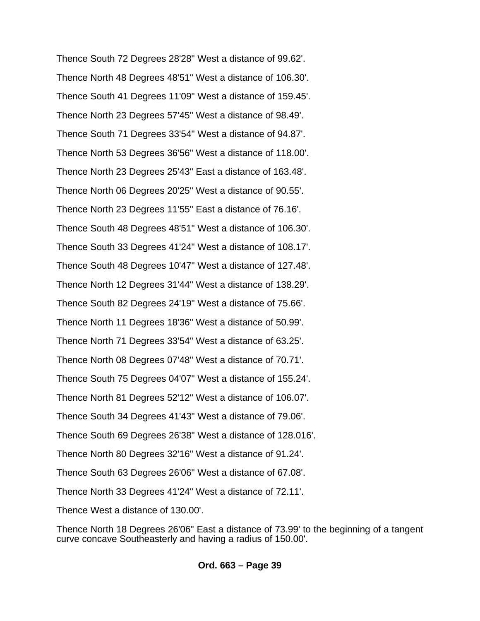Thence South 72 Degrees 28'28" West a distance of 99.62'. Thence North 48 Degrees 48'51" West a distance of 106.30'. Thence South 41 Degrees 11'09" West a distance of 159.45'. Thence North 23 Degrees 57'45" West a distance of 98.49'. Thence South 71 Degrees 33'54" West a distance of 94.87'. Thence North 53 Degrees 36'56" West a distance of 118.00'. Thence North 23 Degrees 25'43" East a distance of 163.48'. Thence North 06 Degrees 20'25" West a distance of 90.55'. Thence North 23 Degrees 11'55" East a distance of 76.16'. Thence South 48 Degrees 48'51" West a distance of 106.30'. Thence South 33 Degrees 41'24" West a distance of 108.17'. Thence South 48 Degrees 10'47" West a distance of 127.48'. Thence North 12 Degrees 31'44" West a distance of 138.29'. Thence South 82 Degrees 24'19" West a distance of 75.66'. Thence North 11 Degrees 18'36" West a distance of 50.99'. Thence North 71 Degrees 33'54" West a distance of 63.25'. Thence North 08 Degrees 07'48" West a distance of 70.71'. Thence South 75 Degrees 04'07" West a distance of 155.24'. Thence North 81 Degrees 52'12" West a distance of 106.07'. Thence South 34 Degrees 41'43" West a distance of 79.06'. Thence South 69 Degrees 26'38" West a distance of 128.016'. Thence North 80 Degrees 32'16" West a distance of 91.24'. Thence South 63 Degrees 26'06" West a distance of 67.08'. Thence North 33 Degrees 41'24" West a distance of 72.11'. Thence West a distance of 130.00'.

Thence North 18 Degrees 26'06" East a distance of 73.99' to the beginning of a tangent curve concave Southeasterly and having a radius of 150.00'.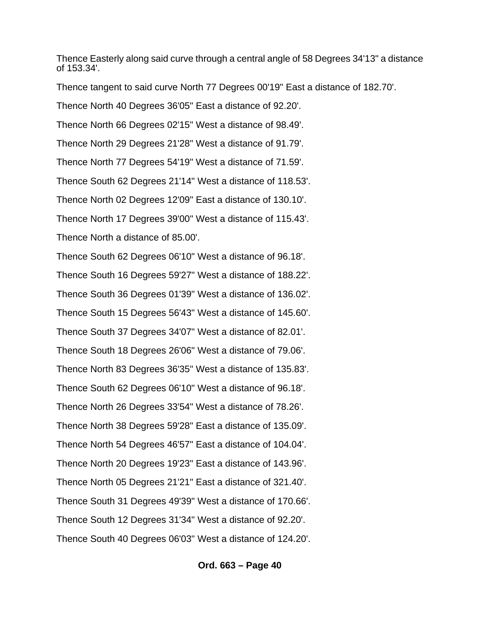Thence Easterly along said curve through a central angle of 58 Degrees 34'13" a distance of 153.34'.

Thence tangent to said curve North 77 Degrees 00'19" East a distance of 182.70'.

Thence North 40 Degrees 36'05" East a distance of 92.20'.

Thence North 66 Degrees 02'15" West a distance of 98.49'.

Thence North 29 Degrees 21'28" West a distance of 91.79'.

Thence North 77 Degrees 54'19" West a distance of 71.59'.

Thence South 62 Degrees 21'14" West a distance of 118.53'.

Thence North 02 Degrees 12'09" East a distance of 130.10'.

Thence North 17 Degrees 39'00" West a distance of 115.43'.

Thence North a distance of 85.00'.

Thence South 62 Degrees 06'10" West a distance of 96.18'. Thence South 16 Degrees 59'27" West a distance of 188.22'. Thence South 36 Degrees 01'39" West a distance of 136.02'. Thence South 15 Degrees 56'43" West a distance of 145.60'. Thence South 37 Degrees 34'07" West a distance of 82.01'. Thence South 18 Degrees 26'06" West a distance of 79.06'. Thence North 83 Degrees 36'35" West a distance of 135.83'. Thence South 62 Degrees 06'10" West a distance of 96.18'. Thence North 26 Degrees 33'54" West a distance of 78.26'. Thence North 38 Degrees 59'28" East a distance of 135.09'. Thence North 54 Degrees 46'57" East a distance of 104.04'. Thence North 20 Degrees 19'23" East a distance of 143.96'. Thence North 05 Degrees 21'21" East a distance of 321.40'. Thence South 31 Degrees 49'39" West a distance of 170.66'. Thence South 12 Degrees 31'34" West a distance of 92.20'. Thence South 40 Degrees 06'03" West a distance of 124.20'.

### **Ord. 663 – Page 40**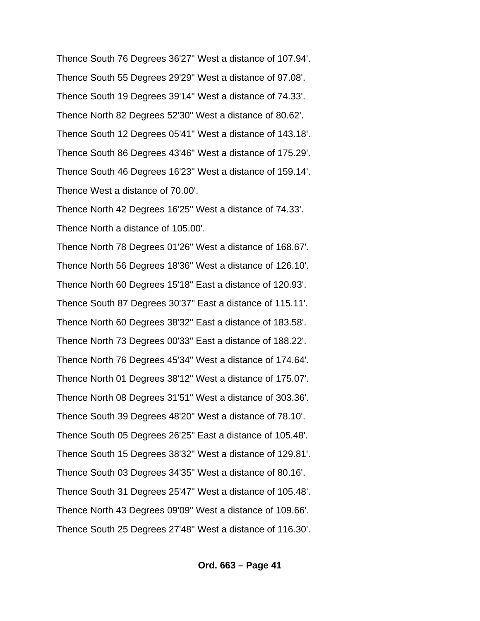Thence South 76 Degrees 36'27" West a distance of 107.94'. Thence South 55 Degrees 29'29" West a distance of 97.08'. Thence South 19 Degrees 39'14" West a distance of 74.33'. Thence North 82 Degrees 52'30" West a distance of 80.62'. Thence South 12 Degrees 05'41" West a distance of 143.18'. Thence South 86 Degrees 43'46" West a distance of 175.29'. Thence South 46 Degrees 16'23" West a distance of 159.14'. Thence West a distance of 70.00'.

Thence North 42 Degrees 16'25" West a distance of 74.33'. Thence North a distance of 105.00'.

Thence North 78 Degrees 01'26" West a distance of 168.67'. Thence North 56 Degrees 18'36" West a distance of 126.10'. Thence North 60 Degrees 15'18" East a distance of 120.93'. Thence South 87 Degrees 30'37" East a distance of 115.11'. Thence North 60 Degrees 38'32" East a distance of 183.58'. Thence North 73 Degrees 00'33" East a distance of 188.22'. Thence North 76 Degrees 45'34" West a distance of 174.64'. Thence North 01 Degrees 38'12" West a distance of 175.07'. Thence North 08 Degrees 31'51" West a distance of 303.36'. Thence South 39 Degrees 48'20" West a distance of 78.10'. Thence South 05 Degrees 26'25" East a distance of 105.48'. Thence South 15 Degrees 38'32" West a distance of 129.81'. Thence South 03 Degrees 34'35" West a distance of 80.16'. Thence South 31 Degrees 25'47" West a distance of 105.48'. Thence North 43 Degrees 09'09" West a distance of 109.66'. Thence South 25 Degrees 27'48" West a distance of 116.30'.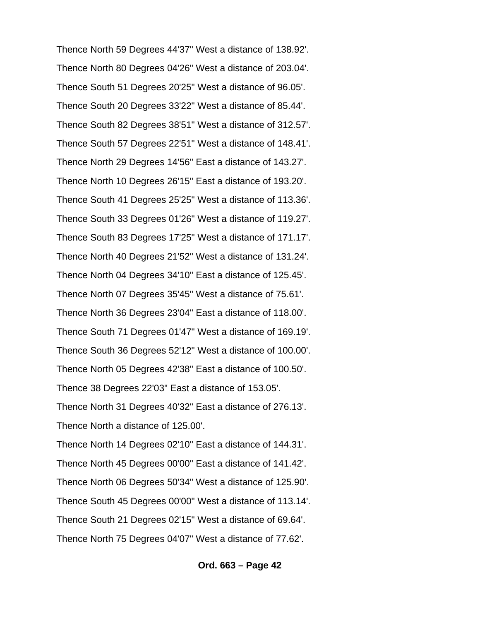Thence North 59 Degrees 44'37" West a distance of 138.92'. Thence North 80 Degrees 04'26" West a distance of 203.04'. Thence South 51 Degrees 20'25" West a distance of 96.05'. Thence South 20 Degrees 33'22" West a distance of 85.44'. Thence South 82 Degrees 38'51" West a distance of 312.57'. Thence South 57 Degrees 22'51" West a distance of 148.41'. Thence North 29 Degrees 14'56" East a distance of 143.27'. Thence North 10 Degrees 26'15" East a distance of 193.20'. Thence South 41 Degrees 25'25" West a distance of 113.36'. Thence South 33 Degrees 01'26" West a distance of 119.27'. Thence South 83 Degrees 17'25" West a distance of 171.17'. Thence North 40 Degrees 21'52" West a distance of 131.24'. Thence North 04 Degrees 34'10" East a distance of 125.45'. Thence North 07 Degrees 35'45" West a distance of 75.61'. Thence North 36 Degrees 23'04" East a distance of 118.00'. Thence South 71 Degrees 01'47" West a distance of 169.19'. Thence South 36 Degrees 52'12" West a distance of 100.00'. Thence North 05 Degrees 42'38" East a distance of 100.50'. Thence 38 Degrees 22'03" East a distance of 153.05'. Thence North 31 Degrees 40'32" East a distance of 276.13'. Thence North a distance of 125.00'. Thence North 14 Degrees 02'10" East a distance of 144.31'. Thence North 45 Degrees 00'00" East a distance of 141.42'. Thence North 06 Degrees 50'34" West a distance of 125.90'. Thence South 45 Degrees 00'00" West a distance of 113.14'. Thence South 21 Degrees 02'15" West a distance of 69.64'. Thence North 75 Degrees 04'07" West a distance of 77.62'.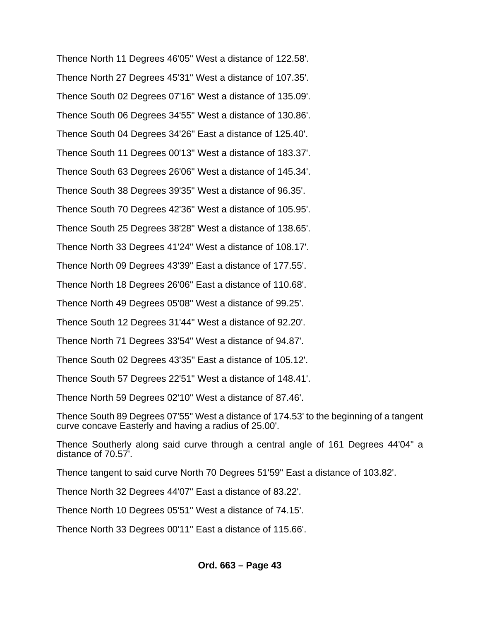Thence North 11 Degrees 46'05" West a distance of 122.58'. Thence North 27 Degrees 45'31" West a distance of 107.35'. Thence South 02 Degrees 07'16" West a distance of 135.09'. Thence South 06 Degrees 34'55" West a distance of 130.86'. Thence South 04 Degrees 34'26" East a distance of 125.40'. Thence South 11 Degrees 00'13" West a distance of 183.37'. Thence South 63 Degrees 26'06" West a distance of 145.34'. Thence South 38 Degrees 39'35" West a distance of 96.35'. Thence South 70 Degrees 42'36" West a distance of 105.95'. Thence South 25 Degrees 38'28" West a distance of 138.65'. Thence North 33 Degrees 41'24" West a distance of 108.17'. Thence North 09 Degrees 43'39" East a distance of 177.55'. Thence North 18 Degrees 26'06" East a distance of 110.68'. Thence North 49 Degrees 05'08" West a distance of 99.25'. Thence South 12 Degrees 31'44" West a distance of 92.20'. Thence North 71 Degrees 33'54" West a distance of 94.87'. Thence South 02 Degrees 43'35" East a distance of 105.12'. Thence South 57 Degrees 22'51" West a distance of 148.41'. Thence North 59 Degrees 02'10" West a distance of 87.46'.

Thence South 89 Degrees 07'55" West a distance of 174.53' to the beginning of a tangent curve concave Easterly and having a radius of 25.00'.

Thence Southerly along said curve through a central angle of 161 Degrees 44'04" a distance of 70.57'.

Thence tangent to said curve North 70 Degrees 51'59" East a distance of 103.82'.

Thence North 32 Degrees 44'07" East a distance of 83.22'.

Thence North 10 Degrees 05'51" West a distance of 74.15'.

Thence North 33 Degrees 00'11" East a distance of 115.66'.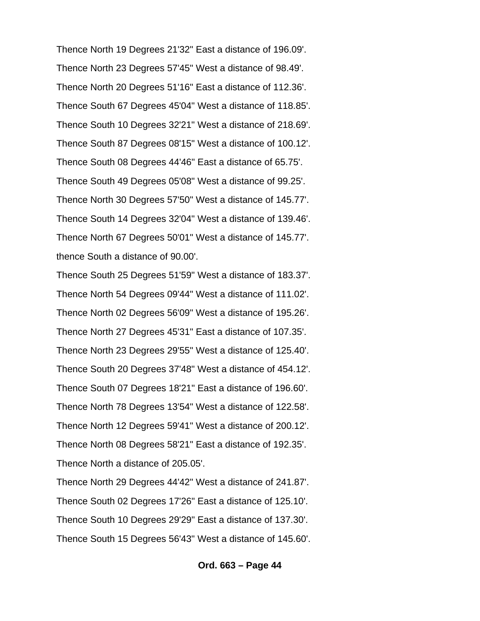Thence North 19 Degrees 21'32" East a distance of 196.09'. Thence North 23 Degrees 57'45" West a distance of 98.49'. Thence North 20 Degrees 51'16" East a distance of 112.36'. Thence South 67 Degrees 45'04" West a distance of 118.85'. Thence South 10 Degrees 32'21" West a distance of 218.69'. Thence South 87 Degrees 08'15" West a distance of 100.12'. Thence South 08 Degrees 44'46" East a distance of 65.75'. Thence South 49 Degrees 05'08" West a distance of 99.25'. Thence North 30 Degrees 57'50" West a distance of 145.77'. Thence South 14 Degrees 32'04" West a distance of 139.46'. Thence North 67 Degrees 50'01" West a distance of 145.77'. thence South a distance of 90.00'.

Thence South 25 Degrees 51'59" West a distance of 183.37'. Thence North 54 Degrees 09'44" West a distance of 111.02'. Thence North 02 Degrees 56'09" West a distance of 195.26'. Thence North 27 Degrees 45'31" East a distance of 107.35'. Thence North 23 Degrees 29'55" West a distance of 125.40'. Thence South 20 Degrees 37'48" West a distance of 454.12'. Thence South 07 Degrees 18'21" East a distance of 196.60'. Thence North 78 Degrees 13'54" West a distance of 122.58'. Thence North 12 Degrees 59'41" West a distance of 200.12'. Thence North 08 Degrees 58'21" East a distance of 192.35'. Thence North a distance of 205.05'.

Thence North 29 Degrees 44'42" West a distance of 241.87'. Thence South 02 Degrees 17'26" East a distance of 125.10'. Thence South 10 Degrees 29'29" East a distance of 137.30'. Thence South 15 Degrees 56'43" West a distance of 145.60'.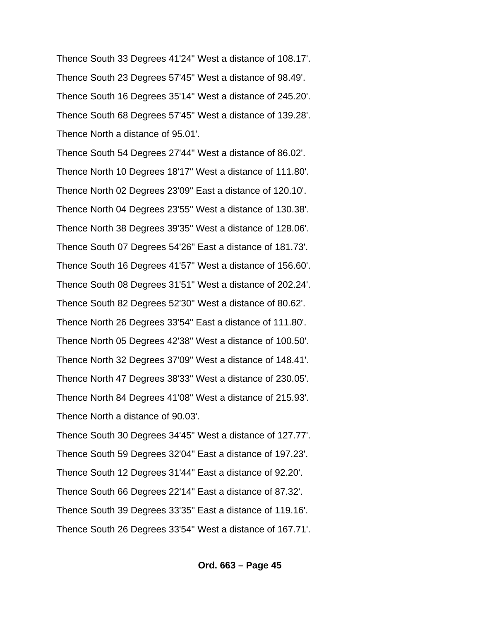Thence South 33 Degrees 41'24" West a distance of 108.17'. Thence South 23 Degrees 57'45" West a distance of 98.49'. Thence South 16 Degrees 35'14" West a distance of 245.20'. Thence South 68 Degrees 57'45" West a distance of 139.28'. Thence North a distance of 95.01'.

Thence South 54 Degrees 27'44" West a distance of 86.02'. Thence North 10 Degrees 18'17" West a distance of 111.80'. Thence North 02 Degrees 23'09" East a distance of 120.10'. Thence North 04 Degrees 23'55" West a distance of 130.38'. Thence North 38 Degrees 39'35" West a distance of 128.06'. Thence South 07 Degrees 54'26" East a distance of 181.73'. Thence South 16 Degrees 41'57" West a distance of 156.60'. Thence South 08 Degrees 31'51" West a distance of 202.24'. Thence South 82 Degrees 52'30" West a distance of 80.62'. Thence North 26 Degrees 33'54" East a distance of 111.80'. Thence North 05 Degrees 42'38" West a distance of 100.50'. Thence North 32 Degrees 37'09" West a distance of 148.41'. Thence North 47 Degrees 38'33" West a distance of 230.05'. Thence North 84 Degrees 41'08" West a distance of 215.93'. Thence North a distance of 90.03'. Thence South 30 Degrees 34'45" West a distance of 127.77'. Thence South 59 Degrees 32'04" East a distance of 197.23'. Thence South 12 Degrees 31'44" East a distance of 92.20'. Thence South 66 Degrees 22'14" East a distance of 87.32'.

Thence South 39 Degrees 33'35" East a distance of 119.16'.

Thence South 26 Degrees 33'54" West a distance of 167.71'.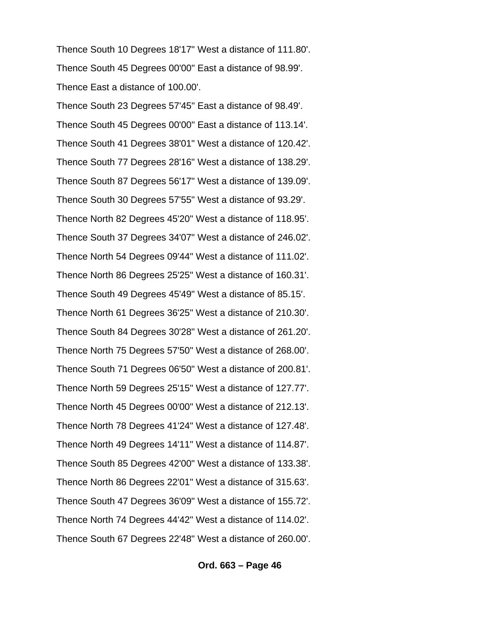Thence South 10 Degrees 18'17" West a distance of 111.80'. Thence South 45 Degrees 00'00" East a distance of 98.99'. Thence East a distance of 100.00'.

Thence South 23 Degrees 57'45" East a distance of 98.49'. Thence South 45 Degrees 00'00" East a distance of 113.14'. Thence South 41 Degrees 38'01" West a distance of 120.42'. Thence South 77 Degrees 28'16" West a distance of 138.29'. Thence South 87 Degrees 56'17" West a distance of 139.09'. Thence South 30 Degrees 57'55" West a distance of 93.29'. Thence North 82 Degrees 45'20" West a distance of 118.95'. Thence South 37 Degrees 34'07" West a distance of 246.02'. Thence North 54 Degrees 09'44" West a distance of 111.02'. Thence North 86 Degrees 25'25" West a distance of 160.31'. Thence South 49 Degrees 45'49" West a distance of 85.15'. Thence North 61 Degrees 36'25" West a distance of 210.30'. Thence South 84 Degrees 30'28" West a distance of 261.20'. Thence North 75 Degrees 57'50" West a distance of 268.00'. Thence South 71 Degrees 06'50" West a distance of 200.81'. Thence North 59 Degrees 25'15" West a distance of 127.77'. Thence North 45 Degrees 00'00" West a distance of 212.13'. Thence North 78 Degrees 41'24" West a distance of 127.48'. Thence North 49 Degrees 14'11" West a distance of 114.87'. Thence South 85 Degrees 42'00" West a distance of 133.38'. Thence North 86 Degrees 22'01" West a distance of 315.63'. Thence South 47 Degrees 36'09" West a distance of 155.72'. Thence North 74 Degrees 44'42" West a distance of 114.02'. Thence South 67 Degrees 22'48" West a distance of 260.00'.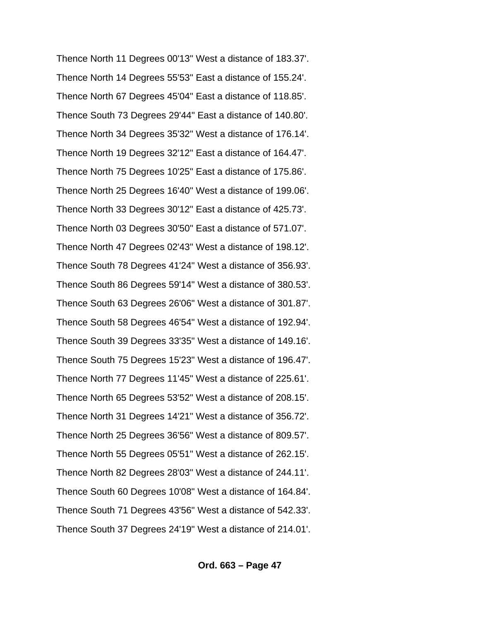Thence North 11 Degrees 00'13" West a distance of 183.37'. Thence North 14 Degrees 55'53" East a distance of 155.24'. Thence North 67 Degrees 45'04" East a distance of 118.85'. Thence South 73 Degrees 29'44" East a distance of 140.80'. Thence North 34 Degrees 35'32" West a distance of 176.14'. Thence North 19 Degrees 32'12" East a distance of 164.47'. Thence North 75 Degrees 10'25" East a distance of 175.86'. Thence North 25 Degrees 16'40" West a distance of 199.06'. Thence North 33 Degrees 30'12" East a distance of 425.73'. Thence North 03 Degrees 30'50" East a distance of 571.07'. Thence North 47 Degrees 02'43" West a distance of 198.12'. Thence South 78 Degrees 41'24" West a distance of 356.93'. Thence South 86 Degrees 59'14" West a distance of 380.53'. Thence South 63 Degrees 26'06" West a distance of 301.87'. Thence South 58 Degrees 46'54" West a distance of 192.94'. Thence South 39 Degrees 33'35" West a distance of 149.16'. Thence South 75 Degrees 15'23" West a distance of 196.47'. Thence North 77 Degrees 11'45" West a distance of 225.61'. Thence North 65 Degrees 53'52" West a distance of 208.15'. Thence North 31 Degrees 14'21" West a distance of 356.72'. Thence North 25 Degrees 36'56" West a distance of 809.57'. Thence North 55 Degrees 05'51" West a distance of 262.15'. Thence North 82 Degrees 28'03" West a distance of 244.11'. Thence South 60 Degrees 10'08" West a distance of 164.84'. Thence South 71 Degrees 43'56" West a distance of 542.33'. Thence South 37 Degrees 24'19" West a distance of 214.01'.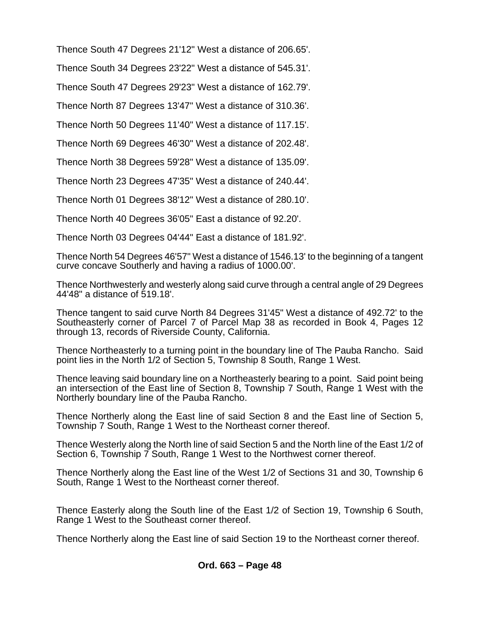Thence South 47 Degrees 21'12" West a distance of 206.65'.

Thence South 34 Degrees 23'22" West a distance of 545.31'.

Thence South 47 Degrees 29'23" West a distance of 162.79'.

Thence North 87 Degrees 13'47" West a distance of 310.36'.

Thence North 50 Degrees 11'40" West a distance of 117.15'.

Thence North 69 Degrees 46'30" West a distance of 202.48'.

Thence North 38 Degrees 59'28" West a distance of 135.09'.

Thence North 23 Degrees 47'35" West a distance of 240.44'.

Thence North 01 Degrees 38'12" West a distance of 280.10'.

Thence North 40 Degrees 36'05" East a distance of 92.20'.

Thence North 03 Degrees 04'44" East a distance of 181.92'.

Thence North 54 Degrees 46'57" West a distance of 1546.13' to the beginning of a tangent curve concave Southerly and having a radius of 1000.00'.

Thence Northwesterly and westerly along said curve through a central angle of 29 Degrees 44'48" a distance of 519.18'.

Thence tangent to said curve North 84 Degrees 31'45" West a distance of 492.72' to the Southeasterly corner of Parcel 7 of Parcel Map 38 as recorded in Book 4, Pages 12 through 13, records of Riverside County, California.

Thence Northeasterly to a turning point in the boundary line of The Pauba Rancho. Said point lies in the North 1/2 of Section 5, Township 8 South, Range 1 West.

Thence leaving said boundary line on a Northeasterly bearing to a point. Said point being an intersection of the East line of Section 8, Township 7 South, Range 1 West with the Northerly boundary line of the Pauba Rancho.

Thence Northerly along the East line of said Section 8 and the East line of Section 5, Township 7 South, Range 1 West to the Northeast corner thereof.

Thence Westerly along the North line of said Section 5 and the North line of the East 1/2 of Section 6, Township 7 South, Range 1 West to the Northwest corner thereof.

Thence Northerly along the East line of the West 1/2 of Sections 31 and 30, Township 6 South, Range 1 West to the Northeast corner thereof.

Thence Easterly along the South line of the East 1/2 of Section 19, Township 6 South, Range 1 West to the Southeast corner thereof.

Thence Northerly along the East line of said Section 19 to the Northeast corner thereof.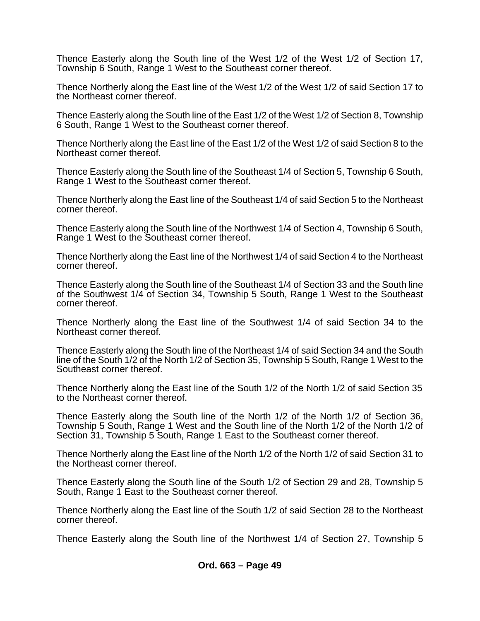Thence Easterly along the South line of the West 1/2 of the West 1/2 of Section 17, Township 6 South, Range 1 West to the Southeast corner thereof.

Thence Northerly along the East line of the West 1/2 of the West 1/2 of said Section 17 to the Northeast corner thereof.

Thence Easterly along the South line of the East 1/2 of the West 1/2 of Section 8, Township 6 South, Range 1 West to the Southeast corner thereof.

Thence Northerly along the East line of the East 1/2 of the West 1/2 of said Section 8 to the Northeast corner thereof.

Thence Easterly along the South line of the Southeast 1/4 of Section 5, Township 6 South, Range 1 West to the Southeast corner thereof.

Thence Northerly along the East line of the Southeast 1/4 of said Section 5 to the Northeast corner thereof.

Thence Easterly along the South line of the Northwest 1/4 of Section 4, Township 6 South, Range 1 West to the Southeast corner thereof.

Thence Northerly along the East line of the Northwest 1/4 of said Section 4 to the Northeast corner thereof.

Thence Easterly along the South line of the Southeast 1/4 of Section 33 and the South line of the Southwest 1/4 of Section 34, Township 5 South, Range 1 West to the Southeast corner thereof.

Thence Northerly along the East line of the Southwest 1/4 of said Section 34 to the Northeast corner thereof.

Thence Easterly along the South line of the Northeast 1/4 of said Section 34 and the South line of the South 1/2 of the North 1/2 of Section 35, Township 5 South, Range 1 West to the Southeast corner thereof.

Thence Northerly along the East line of the South 1/2 of the North 1/2 of said Section 35 to the Northeast corner thereof.

Thence Easterly along the South line of the North 1/2 of the North 1/2 of Section 36, Township 5 South, Range 1 West and the South line of the North 1/2 of the North 1/2 of Section 31, Township 5 South, Range 1 East to the Southeast corner thereof.

Thence Northerly along the East line of the North 1/2 of the North 1/2 of said Section 31 to the Northeast corner thereof.

Thence Easterly along the South line of the South 1/2 of Section 29 and 28, Township 5 South, Range 1 East to the Southeast corner thereof.

Thence Northerly along the East line of the South 1/2 of said Section 28 to the Northeast corner thereof.

Thence Easterly along the South line of the Northwest 1/4 of Section 27, Township 5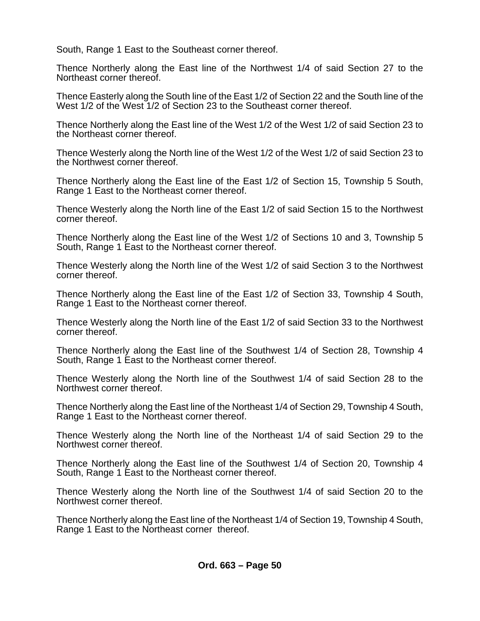South, Range 1 East to the Southeast corner thereof.

Thence Northerly along the East line of the Northwest 1/4 of said Section 27 to the Northeast corner thereof.

Thence Easterly along the South line of the East 1/2 of Section 22 and the South line of the West 1/2 of the West 1/2 of Section 23 to the Southeast corner thereof.

Thence Northerly along the East line of the West 1/2 of the West 1/2 of said Section 23 to the Northeast corner thereof.

Thence Westerly along the North line of the West 1/2 of the West 1/2 of said Section 23 to the Northwest corner thereof.

Thence Northerly along the East line of the East 1/2 of Section 15, Township 5 South, Range 1 East to the Northeast corner thereof.

Thence Westerly along the North line of the East 1/2 of said Section 15 to the Northwest corner thereof.

Thence Northerly along the East line of the West 1/2 of Sections 10 and 3, Township 5 South, Range 1 East to the Northeast corner thereof.

Thence Westerly along the North line of the West 1/2 of said Section 3 to the Northwest corner thereof.

Thence Northerly along the East line of the East 1/2 of Section 33, Township 4 South, Range 1 East to the Northeast corner thereof.

Thence Westerly along the North line of the East 1/2 of said Section 33 to the Northwest corner thereof.

Thence Northerly along the East line of the Southwest 1/4 of Section 28, Township 4 South, Range 1 East to the Northeast corner thereof.

Thence Westerly along the North line of the Southwest 1/4 of said Section 28 to the Northwest corner thereof.

Thence Northerly along the East line of the Northeast 1/4 of Section 29, Township 4 South, Range 1 East to the Northeast corner thereof.

Thence Westerly along the North line of the Northeast 1/4 of said Section 29 to the Northwest corner thereof.

Thence Northerly along the East line of the Southwest 1/4 of Section 20, Township 4 South, Range 1 East to the Northeast corner thereof.

Thence Westerly along the North line of the Southwest 1/4 of said Section 20 to the Northwest corner thereof.

Thence Northerly along the East line of the Northeast 1/4 of Section 19, Township 4 South, Range 1 East to the Northeast corner thereof.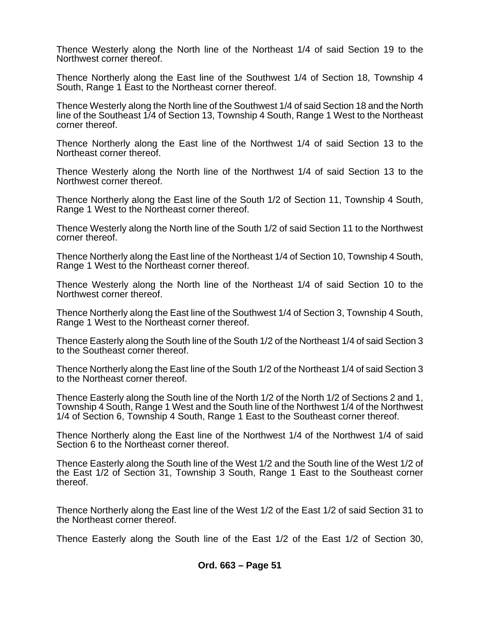Thence Westerly along the North line of the Northeast 1/4 of said Section 19 to the Northwest corner thereof.

Thence Northerly along the East line of the Southwest 1/4 of Section 18, Township 4 South, Range 1 East to the Northeast corner thereof.

Thence Westerly along the North line of the Southwest 1/4 of said Section 18 and the North line of the Southeast 1/4 of Section 13, Township 4 South, Range 1 West to the Northeast corner thereof.

Thence Northerly along the East line of the Northwest 1/4 of said Section 13 to the Northeast corner thereof.

Thence Westerly along the North line of the Northwest 1/4 of said Section 13 to the Northwest corner thereof.

Thence Northerly along the East line of the South 1/2 of Section 11, Township 4 South, Range 1 West to the Northeast corner thereof.

Thence Westerly along the North line of the South 1/2 of said Section 11 to the Northwest corner thereof.

Thence Northerly along the East line of the Northeast 1/4 of Section 10, Township 4 South, Range 1 West to the Northeast corner thereof.

Thence Westerly along the North line of the Northeast 1/4 of said Section 10 to the Northwest corner thereof.

Thence Northerly along the East line of the Southwest 1/4 of Section 3, Township 4 South, Range 1 West to the Northeast corner thereof.

Thence Easterly along the South line of the South 1/2 of the Northeast 1/4 of said Section 3 to the Southeast corner thereof.

Thence Northerly along the East line of the South 1/2 of the Northeast 1/4 of said Section 3 to the Northeast corner thereof.

Thence Easterly along the South line of the North 1/2 of the North 1/2 of Sections 2 and 1, Township 4 South, Range 1 West and the South line of the Northwest 1/4 of the Northwest 1/4 of Section 6, Township 4 South, Range 1 East to the Southeast corner thereof.

Thence Northerly along the East line of the Northwest 1/4 of the Northwest 1/4 of said Section 6 to the Northeast corner thereof.

Thence Easterly along the South line of the West 1/2 and the South line of the West 1/2 of the East 1/2 of Section 31, Township 3 South, Range 1 East to the Southeast corner thereof.

Thence Northerly along the East line of the West 1/2 of the East 1/2 of said Section 31 to the Northeast corner thereof.

Thence Easterly along the South line of the East 1/2 of the East 1/2 of Section 30,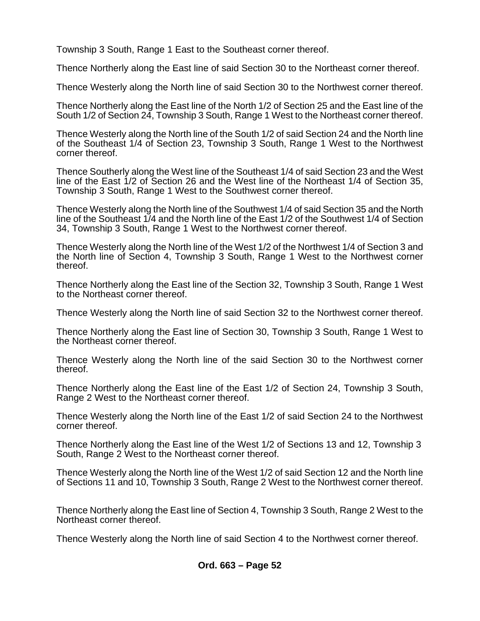Township 3 South, Range 1 East to the Southeast corner thereof.

Thence Northerly along the East line of said Section 30 to the Northeast corner thereof.

Thence Westerly along the North line of said Section 30 to the Northwest corner thereof.

Thence Northerly along the East line of the North 1/2 of Section 25 and the East line of the South 1/2 of Section 24, Township 3 South, Range 1 West to the Northeast corner thereof.

Thence Westerly along the North line of the South 1/2 of said Section 24 and the North line of the Southeast 1/4 of Section 23, Township 3 South, Range 1 West to the Northwest corner thereof.

Thence Southerly along the West line of the Southeast 1/4 of said Section 23 and the West line of the East 1/2 of Section 26 and the West line of the Northeast 1/4 of Section 35, Township 3 South, Range 1 West to the Southwest corner thereof.

Thence Westerly along the North line of the Southwest 1/4 of said Section 35 and the North line of the Southeast 1/4 and the North line of the East 1/2 of the Southwest 1/4 of Section 34, Township 3 South, Range 1 West to the Northwest corner thereof.

Thence Westerly along the North line of the West 1/2 of the Northwest 1/4 of Section 3 and the North line of Section 4, Township 3 South, Range 1 West to the Northwest corner thereof.

Thence Northerly along the East line of the Section 32, Township 3 South, Range 1 West to the Northeast corner thereof.

Thence Westerly along the North line of said Section 32 to the Northwest corner thereof.

Thence Northerly along the East line of Section 30, Township 3 South, Range 1 West to the Northeast corner thereof.

Thence Westerly along the North line of the said Section 30 to the Northwest corner thereof.

Thence Northerly along the East line of the East 1/2 of Section 24, Township 3 South, Range 2 West to the Northeast corner thereof.

Thence Westerly along the North line of the East 1/2 of said Section 24 to the Northwest corner thereof.

Thence Northerly along the East line of the West 1/2 of Sections 13 and 12, Township 3 South, Range 2 West to the Northeast corner thereof.

Thence Westerly along the North line of the West 1/2 of said Section 12 and the North line of Sections 11 and 10, Township 3 South, Range 2 West to the Northwest corner thereof.

Thence Northerly along the East line of Section 4, Township 3 South, Range 2 West to the Northeast corner thereof.

Thence Westerly along the North line of said Section 4 to the Northwest corner thereof.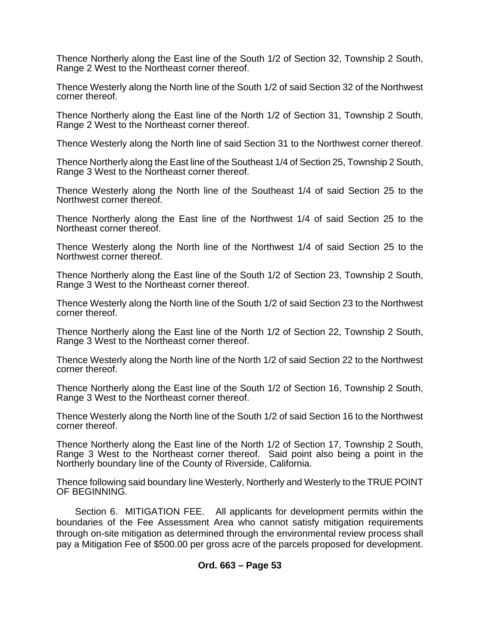Thence Northerly along the East line of the South 1/2 of Section 32, Township 2 South, Range 2 West to the Northeast corner thereof.

Thence Westerly along the North line of the South 1/2 of said Section 32 of the Northwest corner thereof.

Thence Northerly along the East line of the North 1/2 of Section 31, Township 2 South, Range 2 West to the Northeast corner thereof.

Thence Westerly along the North line of said Section 31 to the Northwest corner thereof.

Thence Northerly along the East line of the Southeast 1/4 of Section 25, Township 2 South, Range 3 West to the Northeast corner thereof.

Thence Westerly along the North line of the Southeast 1/4 of said Section 25 to the Northwest corner thereof.

Thence Northerly along the East line of the Northwest 1/4 of said Section 25 to the Northeast corner thereof.

Thence Westerly along the North line of the Northwest 1/4 of said Section 25 to the Northwest corner thereof.

Thence Northerly along the East line of the South 1/2 of Section 23, Township 2 South, Range 3 West to the Northeast corner thereof.

Thence Westerly along the North line of the South 1/2 of said Section 23 to the Northwest corner thereof.

Thence Northerly along the East line of the North 1/2 of Section 22, Township 2 South, Range 3 West to the Northeast corner thereof.

Thence Westerly along the North line of the North 1/2 of said Section 22 to the Northwest corner thereof.

Thence Northerly along the East line of the South 1/2 of Section 16, Township 2 South, Range 3 West to the Northeast corner thereof.

Thence Westerly along the North line of the South 1/2 of said Section 16 to the Northwest corner thereof.

Thence Northerly along the East line of the North 1/2 of Section 17, Township 2 South, Range 3 West to the Northeast corner thereof. Said point also being a point in the Northerly boundary line of the County of Riverside, California.

Thence following said boundary line Westerly, Northerly and Westerly to the TRUE POINT OF BEGINNING.

Section 6. MITIGATION FEE. All applicants for development permits within the boundaries of the Fee Assessment Area who cannot satisfy mitigation requirements through on-site mitigation as determined through the environmental review process shall pay a Mitigation Fee of \$500.00 per gross acre of the parcels proposed for development.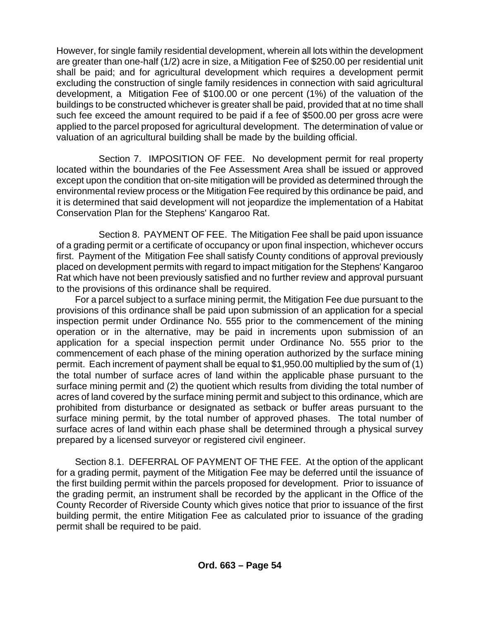However, for single family residential development, wherein all lots within the development are greater than one-half (1/2) acre in size, a Mitigation Fee of \$250.00 per residential unit shall be paid; and for agricultural development which requires a development permit excluding the construction of single family residences in connection with said agricultural development, a Mitigation Fee of \$100.00 or one percent (1%) of the valuation of the buildings to be constructed whichever is greater shall be paid, provided that at no time shall such fee exceed the amount required to be paid if a fee of \$500.00 per gross acre were applied to the parcel proposed for agricultural development. The determination of value or valuation of an agricultural building shall be made by the building official.

Section 7. IMPOSITION OF FEE. No development permit for real property located within the boundaries of the Fee Assessment Area shall be issued or approved except upon the condition that on-site mitigation will be provided as determined through the environmental review process or the Mitigation Fee required by this ordinance be paid, and it is determined that said development will not jeopardize the implementation of a Habitat Conservation Plan for the Stephens' Kangaroo Rat.

Section 8. PAYMENT OF FEE. The Mitigation Fee shall be paid upon issuance of a grading permit or a certificate of occupancy or upon final inspection, whichever occurs first. Payment of the Mitigation Fee shall satisfy County conditions of approval previously placed on development permits with regard to impact mitigation for the Stephens' Kangaroo Rat which have not been previously satisfied and no further review and approval pursuant to the provisions of this ordinance shall be required.

For a parcel subject to a surface mining permit, the Mitigation Fee due pursuant to the provisions of this ordinance shall be paid upon submission of an application for a special inspection permit under Ordinance No. 555 prior to the commencement of the mining operation or in the alternative, may be paid in increments upon submission of an application for a special inspection permit under Ordinance No. 555 prior to the commencement of each phase of the mining operation authorized by the surface mining permit. Each increment of payment shall be equal to \$1,950.00 multiplied by the sum of (1) the total number of surface acres of land within the applicable phase pursuant to the surface mining permit and (2) the quotient which results from dividing the total number of acres of land covered by the surface mining permit and subject to this ordinance, which are prohibited from disturbance or designated as setback or buffer areas pursuant to the surface mining permit, by the total number of approved phases. The total number of surface acres of land within each phase shall be determined through a physical survey prepared by a licensed surveyor or registered civil engineer.

Section 8.1. DEFERRAL OF PAYMENT OF THE FEE. At the option of the applicant for a grading permit, payment of the Mitigation Fee may be deferred until the issuance of the first building permit within the parcels proposed for development. Prior to issuance of the grading permit, an instrument shall be recorded by the applicant in the Office of the County Recorder of Riverside County which gives notice that prior to issuance of the first building permit, the entire Mitigation Fee as calculated prior to issuance of the grading permit shall be required to be paid.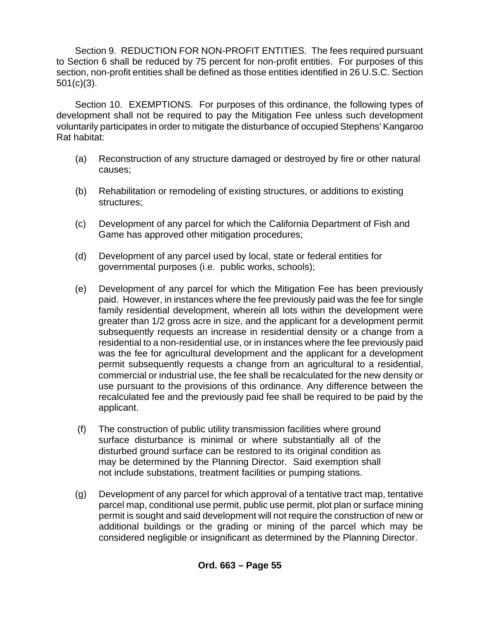Section 9. REDUCTION FOR NON-PROFIT ENTITIES. The fees required pursuant to Section 6 shall be reduced by 75 percent for non-profit entities. For purposes of this section, non-profit entities shall be defined as those entities identified in 26 U.S.C. Section 501(c)(3).

Section 10. EXEMPTIONS. For purposes of this ordinance, the following types of development shall not be required to pay the Mitigation Fee unless such development voluntarily participates in order to mitigate the disturbance of occupied Stephens' Kangaroo Rat habitat:

- (a) Reconstruction of any structure damaged or destroyed by fire or other natural causes;
- (b) Rehabilitation or remodeling of existing structures, or additions to existing structures;
- (c) Development of any parcel for which the California Department of Fish and Game has approved other mitigation procedures;
- (d) Development of any parcel used by local, state or federal entities for governmental purposes (i.e. public works, schools);
- (e) Development of any parcel for which the Mitigation Fee has been previously paid. However, in instances where the fee previously paid was the fee for single family residential development, wherein all lots within the development were greater than 1/2 gross acre in size, and the applicant for a development permit subsequently requests an increase in residential density or a change from a residential to a non-residential use, or in instances where the fee previously paid was the fee for agricultural development and the applicant for a development permit subsequently requests a change from an agricultural to a residential, commercial or industrial use, the fee shall be recalculated for the new density or use pursuant to the provisions of this ordinance. Any difference between the recalculated fee and the previously paid fee shall be required to be paid by the applicant.
- (f) The construction of public utility transmission facilities where ground surface disturbance is minimal or where substantially all of the disturbed ground surface can be restored to its original condition as may be determined by the Planning Director. Said exemption shall not include substations, treatment facilities or pumping stations.
- (g) Development of any parcel for which approval of a tentative tract map, tentative parcel map, conditional use permit, public use permit, plot plan or surface mining permit is sought and said development will not require the construction of new or additional buildings or the grading or mining of the parcel which may be considered negligible or insignificant as determined by the Planning Director.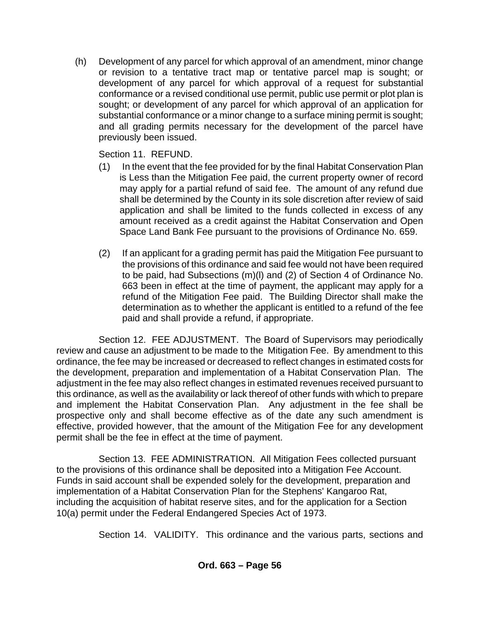(h) Development of any parcel for which approval of an amendment, minor change or revision to a tentative tract map or tentative parcel map is sought; or development of any parcel for which approval of a request for substantial conformance or a revised conditional use permit, public use permit or plot plan is sought; or development of any parcel for which approval of an application for substantial conformance or a minor change to a surface mining permit is sought; and all grading permits necessary for the development of the parcel have previously been issued.

Section 11. REFUND.

- (1) In the event that the fee provided for by the final Habitat Conservation Plan is Less than the Mitigation Fee paid, the current property owner of record may apply for a partial refund of said fee. The amount of any refund due shall be determined by the County in its sole discretion after review of said application and shall be limited to the funds collected in excess of any amount received as a credit against the Habitat Conservation and Open Space Land Bank Fee pursuant to the provisions of Ordinance No. 659.
- (2) If an applicant for a grading permit has paid the Mitigation Fee pursuant to the provisions of this ordinance and said fee would not have been required to be paid, had Subsections (m)(l) and (2) of Section 4 of Ordinance No. 663 been in effect at the time of payment, the applicant may apply for a refund of the Mitigation Fee paid. The Building Director shall make the determination as to whether the applicant is entitled to a refund of the fee paid and shall provide a refund, if appropriate.

Section 12. FEE ADJUSTMENT. The Board of Supervisors may periodically review and cause an adjustment to be made to the Mitigation Fee. By amendment to this ordinance, the fee may be increased or decreased to reflect changes in estimated costs for the development, preparation and implementation of a Habitat Conservation Plan. The adjustment in the fee may also reflect changes in estimated revenues received pursuant to this ordinance, as well as the availability or lack thereof of other funds with which to prepare and implement the Habitat Conservation Plan. Any adjustment in the fee shall be prospective only and shall become effective as of the date any such amendment is effective, provided however, that the amount of the Mitigation Fee for any development permit shall be the fee in effect at the time of payment.

Section 13. FEE ADMINISTRATION. All Mitigation Fees collected pursuant to the provisions of this ordinance shall be deposited into a Mitigation Fee Account. Funds in said account shall be expended solely for the development, preparation and implementation of a Habitat Conservation Plan for the Stephens' Kangaroo Rat, including the acquisition of habitat reserve sites, and for the application for a Section 10(a) permit under the Federal Endangered Species Act of 1973.

Section 14. VALIDITY. This ordinance and the various parts, sections and